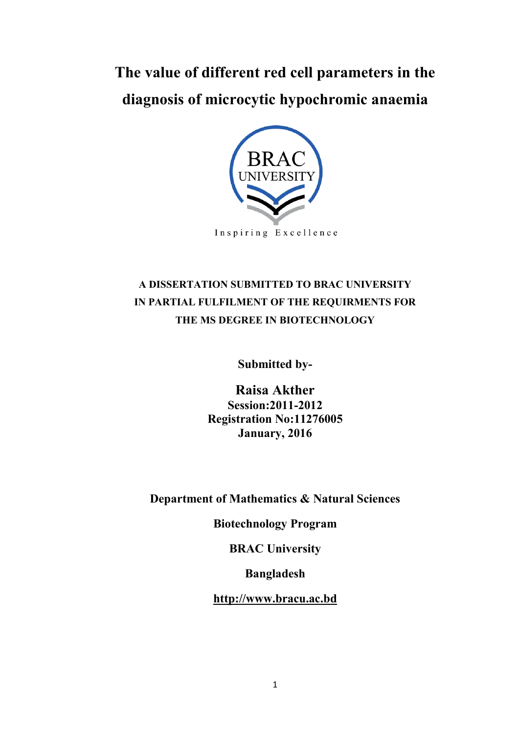# **The value of different red cell parameters in the diagnosis of microcytic hypochromic anaemia**



Inspiring Excellence

## **A DISSERTATION SUBMITTED TO BRAC UNIVERSITY IN PARTIAL FULFILMENT OF THE REQUIRMENTS FOR THE MS DEGREE IN BIOTECHNOLOGY**

**Submitted by-**

**Raisa Akther Session:2011-2012 Registration No:11276005 January, 2016** 

**Department of Mathematics & Natural Sciences** 

**Biotechnology Program** 

**BRAC University** 

**Bangladesh** 

**[http://www.bracu.ac.bd](http://www.bracu.ac.bd/)**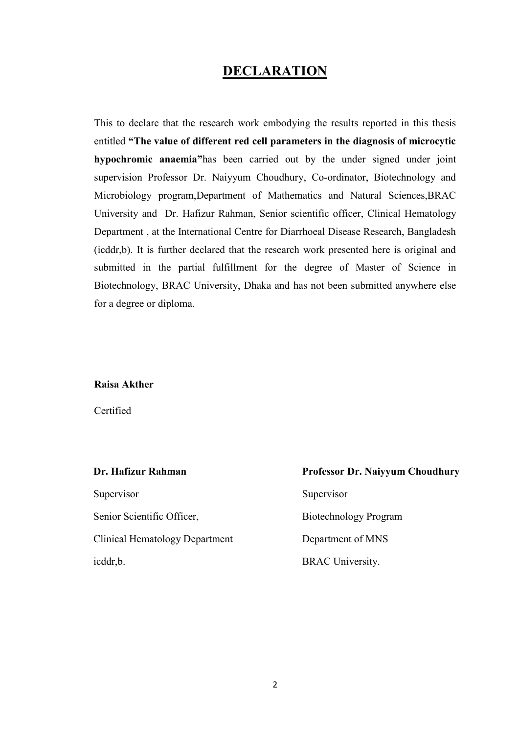## **DECLARATION**

This to declare that the research work embodying the results reported in this thesis entitled **"The value of different red cell parameters in the diagnosis of microcytic hypochromic anaemia"**has been carried out by the under signed under joint supervision Professor Dr. Naiyyum Choudhury, Co-ordinator, Biotechnology and Microbiology program,Department of Mathematics and Natural Sciences,BRAC University and Dr. Hafizur Rahman, Senior scientific officer, Clinical Hematology Department , at the International Centre for Diarrhoeal Disease Research, Bangladesh (icddr,b). It is further declared that the research work presented here is original and submitted in the partial fulfillment for the degree of Master of Science in Biotechnology, BRAC University, Dhaka and has not been submitted anywhere else for a degree or diploma.

#### **Raisa Akther**

Certified

| Dr. Hafizur Rahman             | <b>Professor Dr. Naiyyum Choudhury</b> |
|--------------------------------|----------------------------------------|
| Supervisor                     | Supervisor                             |
| Senior Scientific Officer,     | Biotechnology Program                  |
| Clinical Hematology Department | Department of MNS                      |
| icddr, b.                      | <b>BRAC</b> University.                |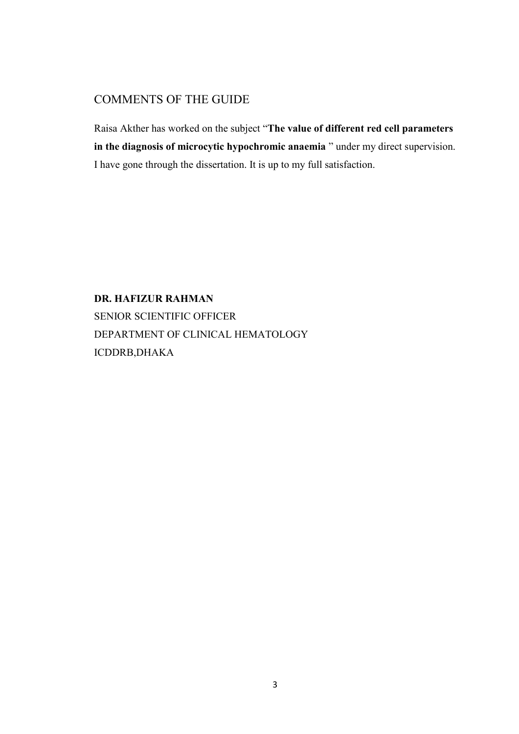## COMMENTS OF THE GUIDE

Raisa Akther has worked on the subject "**The value of different red cell parameters in the diagnosis of microcytic hypochromic anaemia** " under my direct supervision. I have gone through the dissertation. It is up to my full satisfaction.

**DR. HAFIZUR RAHMAN**  SENIOR SCIENTIFIC OFFICER DEPARTMENT OF CLINICAL HEMATOLOGY ICDDRB,DHAKA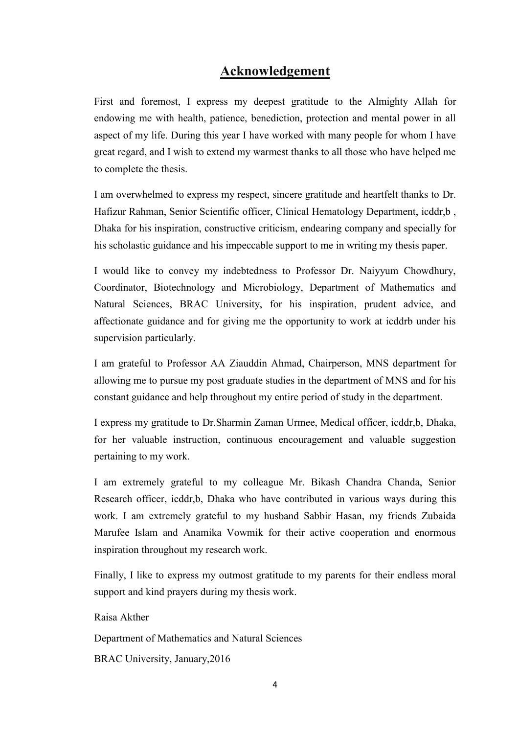## **Acknowledgement**

First and foremost, I express my deepest gratitude to the Almighty Allah for endowing me with health, patience, benediction, protection and mental power in all aspect of my life. During this year I have worked with many people for whom I have great regard, and I wish to extend my warmest thanks to all those who have helped me to complete the thesis.

I am overwhelmed to express my respect, sincere gratitude and heartfelt thanks to Dr. Hafizur Rahman, Senior Scientific officer, Clinical Hematology Department, icddr,b , Dhaka for his inspiration, constructive criticism, endearing company and specially for his scholastic guidance and his impeccable support to me in writing my thesis paper.

I would like to convey my indebtedness to Professor Dr. Naiyyum Chowdhury, Coordinator, Biotechnology and Microbiology, Department of Mathematics and Natural Sciences, BRAC University, for his inspiration, prudent advice, and affectionate guidance and for giving me the opportunity to work at icddrb under his supervision particularly.

I am grateful to Professor AA Ziauddin Ahmad, Chairperson, MNS department for allowing me to pursue my post graduate studies in the department of MNS and for his constant guidance and help throughout my entire period of study in the department.

I express my gratitude to Dr.Sharmin Zaman Urmee, Medical officer, icddr,b, Dhaka, for her valuable instruction, continuous encouragement and valuable suggestion pertaining to my work.

I am extremely grateful to my colleague Mr. Bikash Chandra Chanda, Senior Research officer, icddr,b, Dhaka who have contributed in various ways during this work. I am extremely grateful to my husband Sabbir Hasan, my friends Zubaida Marufee Islam and Anamika Vowmik for their active cooperation and enormous inspiration throughout my research work.

Finally, I like to express my outmost gratitude to my parents for their endless moral support and kind prayers during my thesis work.

Raisa Akther Department of Mathematics and Natural Sciences BRAC University, January,2016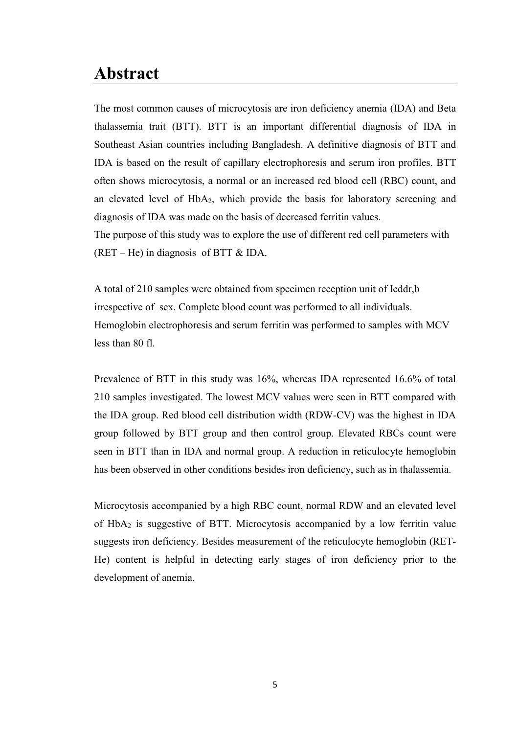## **Abstract**

The most common causes of microcytosis are iron deficiency anemia (IDA) and Beta thalassemia trait (BTT). BTT is an important differential diagnosis of IDA in Southeast Asian countries including Bangladesh. A definitive diagnosis of BTT and IDA is based on the result of capillary electrophoresis and serum iron profiles. BTT often shows microcytosis, a normal or an increased red blood cell (RBC) count, and an elevated level of HbA2, which provide the basis for laboratory screening and diagnosis of IDA was made on the basis of decreased ferritin values.

The purpose of this study was to explore the use of different red cell parameters with  $(RET - He)$  in diagnosis of BTT & IDA.

A total of 210 samples were obtained from specimen reception unit of Icddr,b irrespective of sex. Complete blood count was performed to all individuals. Hemoglobin electrophoresis and serum ferritin was performed to samples with MCV less than 80 fl.

Prevalence of BTT in this study was 16%, whereas IDA represented 16.6% of total 210 samples investigated. The lowest MCV values were seen in BTT compared with the IDA group. Red blood cell distribution width (RDW-CV) was the highest in IDA group followed by BTT group and then control group. Elevated RBCs count were seen in BTT than in IDA and normal group. A reduction in reticulocyte hemoglobin has been observed in other conditions besides iron deficiency, such as in thalassemia.

Microcytosis accompanied by a high RBC count, normal RDW and an elevated level of HbA2 is suggestive of BTT. Microcytosis accompanied by a low ferritin value suggests iron deficiency. Besides measurement of the reticulocyte hemoglobin (RET-He) content is helpful in detecting early stages of iron deficiency prior to the development of anemia.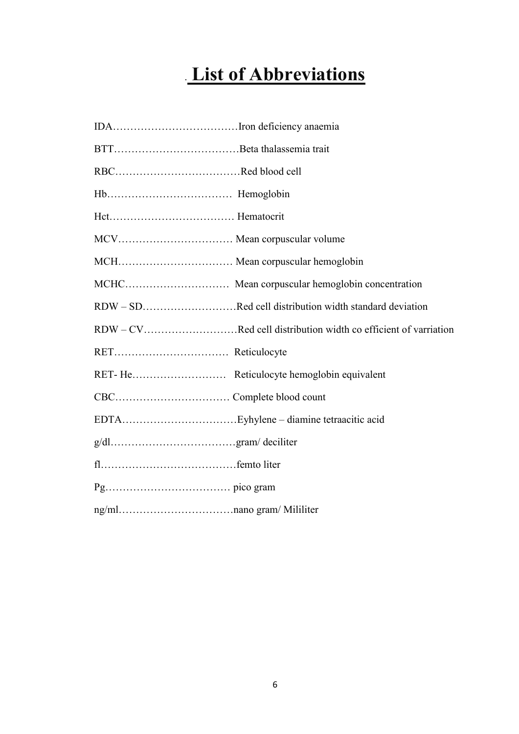# . **List of Abbreviations**

| MCH Mean corpuscular hemoglobin |                                                                |
|---------------------------------|----------------------------------------------------------------|
|                                 |                                                                |
|                                 | RDW – SDRed cell distribution width standard deviation         |
|                                 | RDW – CVRed cell distribution width co efficient of varriation |
|                                 |                                                                |
|                                 |                                                                |
|                                 |                                                                |
|                                 |                                                                |
|                                 |                                                                |
|                                 |                                                                |
|                                 |                                                                |
|                                 |                                                                |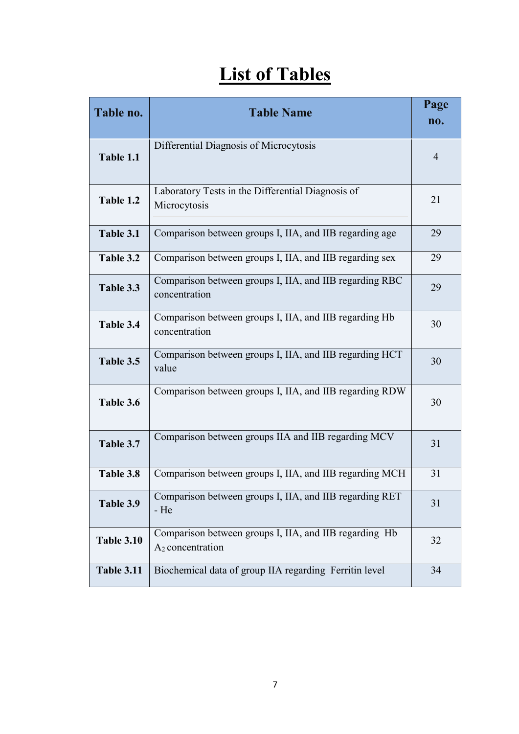# **List of Tables**

| Table no.         | <b>Table Name</b>                                                                      | Page<br>no.    |
|-------------------|----------------------------------------------------------------------------------------|----------------|
| Table 1.1         | Differential Diagnosis of Microcytosis                                                 | $\overline{4}$ |
| Table 1.2         | Laboratory Tests in the Differential Diagnosis of<br>Microcytosis                      | 21             |
| Table 3.1         | Comparison between groups I, IIA, and IIB regarding age                                | 29             |
| Table 3.2         | Comparison between groups I, IIA, and IIB regarding sex                                | 29             |
| Table 3.3         | Comparison between groups I, IIA, and IIB regarding RBC<br>concentration               | 29             |
| Table 3.4         | Comparison between groups I, IIA, and IIB regarding Hb<br>concentration                | 30             |
| Table 3.5         | Comparison between groups I, IIA, and IIB regarding HCT<br>value                       | 30             |
| Table 3.6         | Comparison between groups I, IIA, and IIB regarding RDW                                | 30             |
| Table 3.7         | Comparison between groups IIA and IIB regarding MCV                                    | 31             |
| Table 3.8         | Comparison between groups I, IIA, and IIB regarding MCH                                | 31             |
| Table 3.9         | Comparison between groups I, IIA, and IIB regarding RET<br>- He                        | 31             |
| <b>Table 3.10</b> | Comparison between groups I, IIA, and IIB regarding Hb<br>A <sub>2</sub> concentration | 32             |
| <b>Table 3.11</b> | Biochemical data of group IIA regarding Ferritin level                                 | 34             |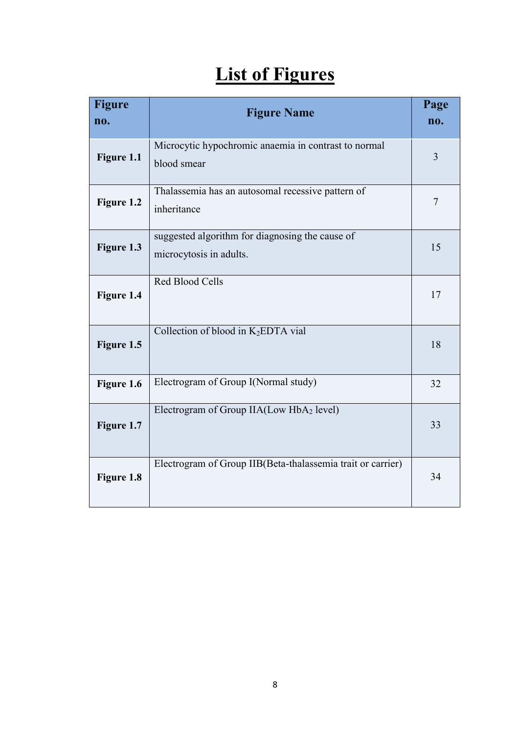# **List of Figures**

| <b>Figure</b><br>no. | <b>Figure Name</b>                                                         | Page<br>no.    |
|----------------------|----------------------------------------------------------------------------|----------------|
| Figure 1.1           | Microcytic hypochromic anaemia in contrast to normal<br>blood smear        | $\overline{3}$ |
| Figure 1.2           | Thalassemia has an autosomal recessive pattern of<br>inheritance           | 7              |
| Figure 1.3           | suggested algorithm for diagnosing the cause of<br>microcytosis in adults. | 15             |
| Figure 1.4           | Red Blood Cells                                                            | 17             |
| Figure 1.5           | Collection of blood in K2EDTA vial                                         | 18             |
| Figure 1.6           | Electrogram of Group I(Normal study)                                       | 32             |
| Figure 1.7           | Electrogram of Group $IIA(Low HbA2 level)$                                 | 33             |
| Figure 1.8           | Electrogram of Group IIB(Beta-thalassemia trait or carrier)                | 34             |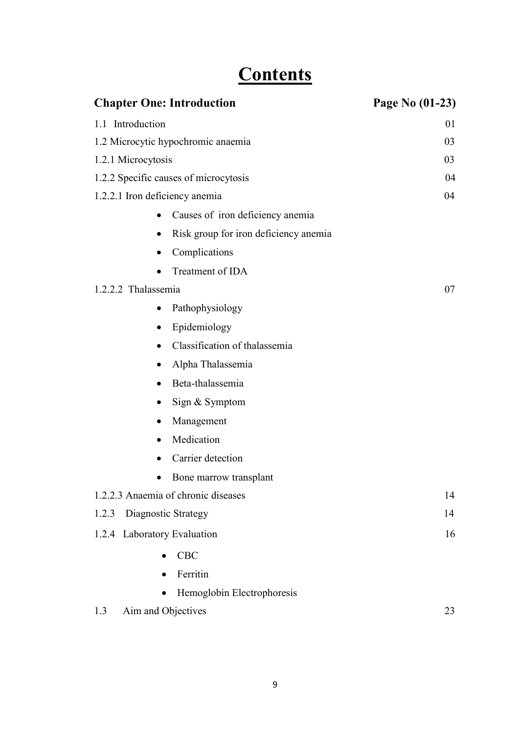# **Contents**

| <b>Chapter One: Introduction</b>              | Page No (01-23) |
|-----------------------------------------------|-----------------|
| 1.1 Introduction                              | 01              |
| 1.2 Microcytic hypochromic anaemia            | 03              |
| 1.2.1 Microcytosis                            | 03              |
| 1.2.2 Specific causes of microcytosis         | 04              |
| 1.2.2.1 Iron deficiency anemia                | 04              |
| Causes of iron deficiency anemia<br>$\bullet$ |                 |
| Risk group for iron deficiency anemia         |                 |
| Complications                                 |                 |
| Treatment of IDA                              |                 |
| 1.2.2.2 Thalassemia                           | 07              |
| Pathophysiology<br>$\bullet$                  |                 |
| Epidemiology                                  |                 |
| Classification of thalassemia<br>$\bullet$    |                 |
| Alpha Thalassemia                             |                 |
| Beta-thalassemia                              |                 |
| Sign & Symptom                                |                 |
| Management                                    |                 |
| Medication<br>$\bullet$                       |                 |
| Carrier detection                             |                 |
| Bone marrow transplant                        |                 |
| 1.2.2.3 Anaemia of chronic diseases           | 14              |
| Diagnostic Strategy<br>1.2.3                  | 14              |
| Laboratory Evaluation<br>1.2.4                | 16              |
| <b>CBC</b>                                    |                 |
| Ferritin                                      |                 |
| Hemoglobin Electrophoresis                    |                 |
| Aim and Objectives<br>1.3                     | 23              |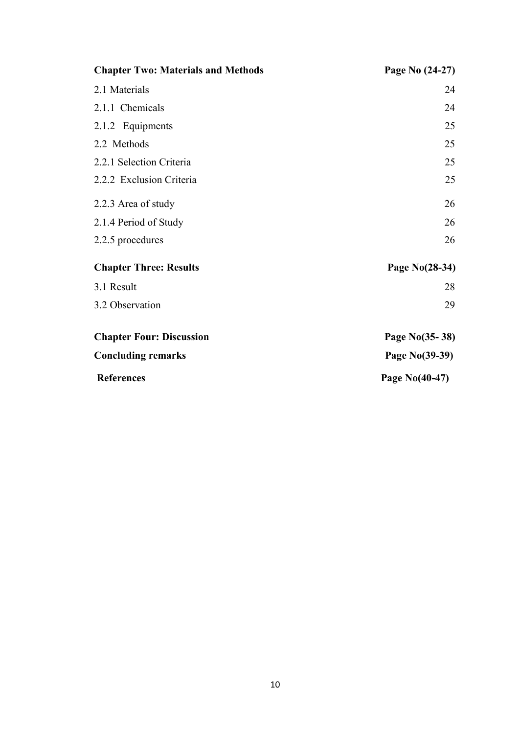| <b>Chapter Two: Materials and Methods</b> | Page No (24-27) |
|-------------------------------------------|-----------------|
| 2.1 Materials                             | 24              |
| 2.1.1 Chemicals                           | 24              |
| 2.1.2 Equipments                          | 25              |
| 2.2 Methods                               | 25              |
| 2.2.1 Selection Criteria                  | 25              |
| 2.2.2 Exclusion Criteria                  | 25              |
| 2.2.3 Area of study                       | 26              |
| 2.1.4 Period of Study                     | 26              |
| 2.2.5 procedures                          | 26              |
| <b>Chapter Three: Results</b>             | Page No(28-34)  |
| 3.1 Result                                | 28              |
| 3.2 Observation                           | 29              |
| <b>Chapter Four: Discussion</b>           | Page No(35-38)  |
| <b>Concluding remarks</b>                 | Page No(39-39)  |
| <b>References</b>                         | Page No(40-47)  |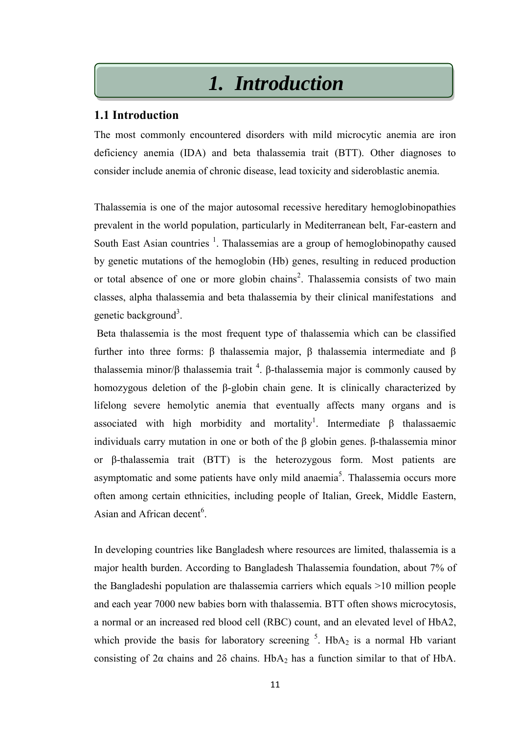## *1. Introduction*

## **1.1 Introduction**

The most commonly encountered disorders with mild microcytic anemia are iron deficiency anemia (IDA) and beta thalassemia trait (BTT). Other diagnoses to consider include anemia of chronic disease, lead toxicity and sideroblastic anemia.

Thalassemia is one of the major autosomal recessive hereditary hemoglobinopathies prevalent in the world population, particularly in Mediterranean belt, Far-eastern and South East Asian countries  $<sup>1</sup>$ . Thalassemias are a group of hemoglobinopathy caused</sup> by genetic mutations of the hemoglobin (Hb) genes, resulting in reduced production or total absence of one or more globin chains<sup>2</sup>. Thalassemia consists of two main classes, alpha thalassemia and beta thalassemia by their clinical manifestations and genetic background<sup>3</sup>.

Beta thalassemia is the most frequent type of thalassemia which can be classified further into three forms: β thalassemia major, β thalassemia intermediate and β thalassemia minor/β thalassemia trait <sup>4</sup>. β-thalassemia major is commonly caused by homozygous deletion of the β-globin chain gene. It is clinically characterized by lifelong severe hemolytic anemia that eventually affects many organs and is associated with high morbidity and mortality<sup>1</sup>. Intermediate  $\beta$  thalassaemic individuals carry mutation in one or both of the β globin genes. β-thalassemia minor or β-thalassemia trait (BTT) is the heterozygous form. Most patients are asymptomatic and some patients have only mild anaemia<sup>5</sup>. Thalassemia occurs more often among certain ethnicities, including people of Italian, Greek, Middle Eastern, Asian and African decent<sup>6</sup>.

In developing countries like Bangladesh where resources are limited, thalassemia is a major health burden. According to Bangladesh Thalassemia foundation, about 7% of the Bangladeshi population are thalassemia carriers which equals >10 million people and each year 7000 new babies born with thalassemia. BTT often shows microcytosis, a normal or an increased red blood cell (RBC) count, and an elevated level of HbA2, which provide the basis for laboratory screening  $5$ . HbA<sub>2</sub> is a normal Hb variant consisting of 2 $\alpha$  chains and 2 $\delta$  chains. HbA<sub>2</sub> has a function similar to that of HbA.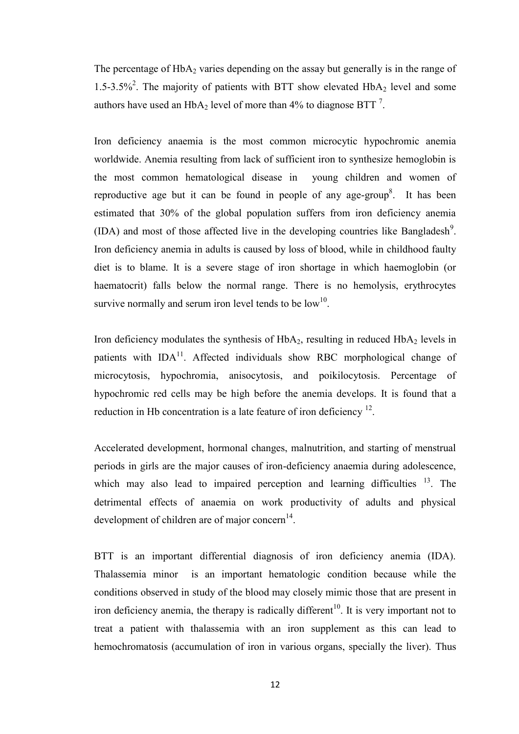The percentage of  $HbA_2$  varies depending on the assay but generally is in the range of 1.5-3.5%<sup>2</sup>. The majority of patients with BTT show elevated  $HbA_2$  level and some authors have used an  $HbA_2$  level of more than 4% to diagnose BTT<sup>[7](http://www.ehj.eg.net/article.asp?issn=1110-1067;year=2014;volume=39;issue=3;spage=91;epage=97;aulast=Soliman#ref3)</sup>.

Iron deficiency anaemia is the most common microcytic hypochromic anemia worldwide. Anemia resulting from lack of sufficient iron to synthesize hemoglobin is the most common hematological disease in young children and women of reproductive age but it can be found in people of any age-group<sup>8</sup>. It has been estimated that 30% of the global population suffers from iron deficiency anemia  $(IDA)$  and most of those affected live in the developing countries like Bangladesh<sup>9</sup>. Iron deficiency anemia in adults is caused by loss of blood, while in childhood faulty diet is to blame. It is a severe stage of iron shortage in which haemoglobin (or haematocrit) falls below the normal range. There is no hemolysis, erythrocytes survive normally and serum iron level tends to be  $low<sup>10</sup>$ .

Iron deficiency modulates the synthesis of  $HbA<sub>2</sub>$ , resulting in reduced  $HbA<sub>2</sub>$  levels in patients with  $IDA<sup>11</sup>$ . Affected individuals show RBC morphological change of microcytosis, hypochromia, anisocytosis, and poikilocytosis. Percentage of hypochromic red cells may be high before the anemia develops. It is found that a reduction in Hb concentration is a late feature of iron deficiency  $12$ .

Accelerated development, hormonal changes, malnutrition, and starting of menstrual periods in girls are the major causes of iron-deficiency anaemia during adolescence, which may also lead to impaired perception and learning difficulties  $13$ . The detrimental effects of anaemia on work productivity of adults and physical development of children are of major concern $<sup>14</sup>$ .</sup>

BTT is an important differential diagnosis of iron deficiency anemia (IDA). Thalassemia minor is an important hematologic condition because while the conditions observed in study of the blood may closely mimic those that are present in iron deficiency anemia, the therapy is radically different<sup>10</sup>. It is very important not to treat a patient with thalassemia with an iron supplement as this can lead to hemochromatosis (accumulation of iron in various organs, specially the liver). Thus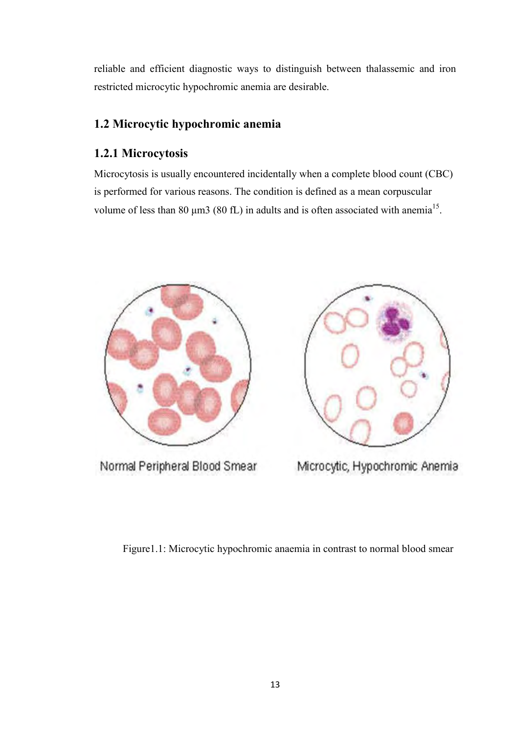reliable and efficient diagnostic ways to distinguish between thalassemic and iron restricted microcytic hypochromic anemia are desirable.

## **1.2 Microcytic hypochromic anemia**

## **1.2.1 Microcytosis**

Microcytosis is usually encountered incidentally when a complete blood count (CBC) is performed for various reasons. The condition is defined as a mean corpuscular volume of less than 80  $\mu$ m3 (80 fL) in adults and is often associated with anemia<sup>[15](http://www.aafp.org/afp/2010/1101/p1117.html#afp20101101p1117-b1)</sup>.



Normal Peripheral Blood Smear



Microcytic, Hypochromic Anemia

Figure1.1: Microcytic hypochromic anaemia in contrast to normal blood smear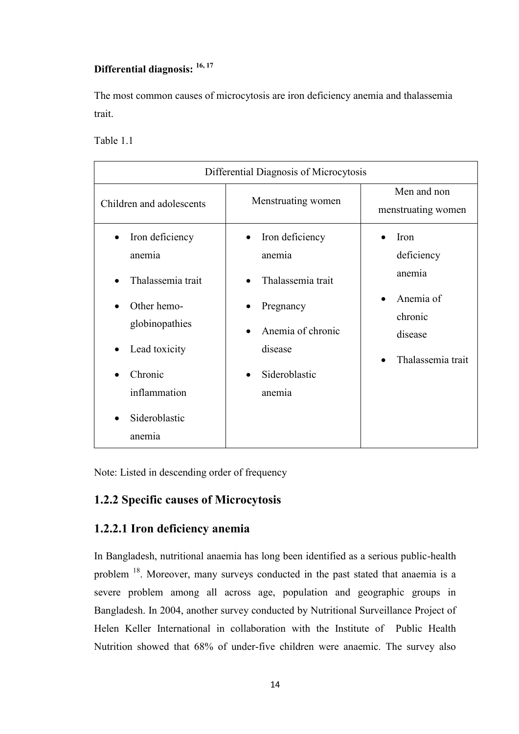## **Differential diagnosis: 16, 17**

The most common causes of microcytosis are iron deficiency anemia and thalassemia trait.

Table 1.1

| Differential Diagnosis of Microcytosis                                                                                                       |                                                                                                                        |                                                                                      |
|----------------------------------------------------------------------------------------------------------------------------------------------|------------------------------------------------------------------------------------------------------------------------|--------------------------------------------------------------------------------------|
| Children and adolescents                                                                                                                     | Menstruating women                                                                                                     | Men and non<br>menstruating women                                                    |
| Iron deficiency<br>anemia<br>Thalassemia trait<br>Other hemo-<br>globinopathies<br>Lead toxicity<br>Chronic<br>inflammation<br>Sideroblastic | Iron deficiency<br>anemia<br>Thalassemia trait<br>Pregnancy<br>Anemia of chronic<br>disease<br>Sideroblastic<br>anemia | Iron<br>deficiency<br>anemia<br>Anemia of<br>chronic<br>disease<br>Thalassemia trait |
| anemia                                                                                                                                       |                                                                                                                        |                                                                                      |

Note: Listed in descending order of frequency

## **1.2.2 Specific causes of Microcytosis**

## **1.2.2.1 Iron deficiency anemia**

In Bangladesh, nutritional anaemia has long been identified as a serious public-health problem <sup>18</sup>. Moreover, many surveys conducted in the past stated that anaemia is a severe problem among all across age, population and geographic groups in Bangladesh. In 2004, another survey conducted by Nutritional Surveillance Project of Helen Keller International in collaboration with the Institute of Public Health Nutrition showed that 68% of under-five children were anaemic. The survey also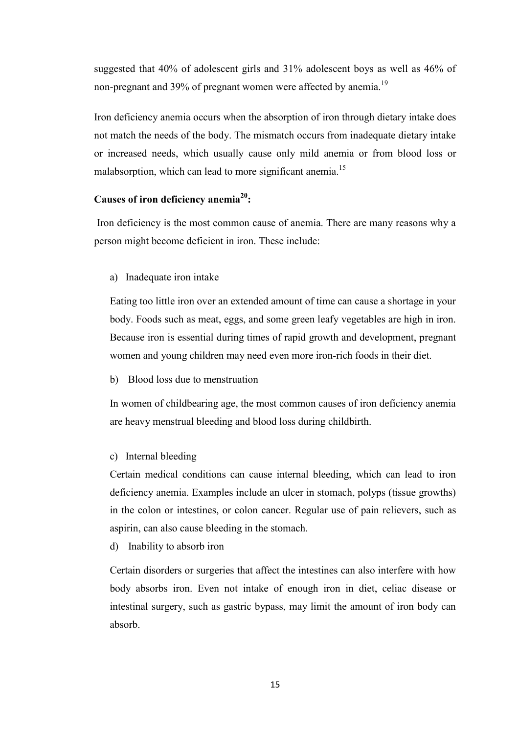suggested that 40% of adolescent girls and 31% adolescent boys as well as 46% of non-pregnant and 39% of pregnant women were affected by anemia.<sup>19</sup>

Iron deficiency anemia occurs when the absorption of iron through dietary intake does not match the needs of the body. The mismatch occurs from inadequate dietary intake or increased needs, which usually cause only mild anemia or from blood loss or malabsorption, which can lead to more significant anemia.<sup>15</sup>

### **Causes of iron deficiency anemia<sup>20</sup>:**

 Iron deficiency is the most common cause of anemia. There are many reasons why a person might become deficient in iron. These include:

a) Inadequate iron intake

Eating too little iron over an extended amount of time can cause a shortage in your body. Foods such as meat, eggs, and some green leafy vegetables are high in iron. Because iron is essential during times of rapid growth and development, pregnant women and young children may need even more iron-rich foods in their diet.

b) Blood loss due to menstruation

In women of childbearing age, the most common causes of iron deficiency anemia are heavy menstrual bleeding and blood loss during childbirth.

c) Internal bleeding

Certain medical conditions can cause internal bleeding, which can lead to iron deficiency anemia. Examples include an ulcer in stomach, polyps (tissue growths) in the colon or intestines, or colon cancer. Regular use of pain relievers, such as aspirin, can also cause bleeding in the stomach.

d) Inability to absorb iron

Certain disorders or surgeries that affect the intestines can also interfere with how body absorbs iron. Even not intake of enough iron in diet, celiac disease or intestinal surgery, such as gastric bypass, may limit the amount of iron body can absorb.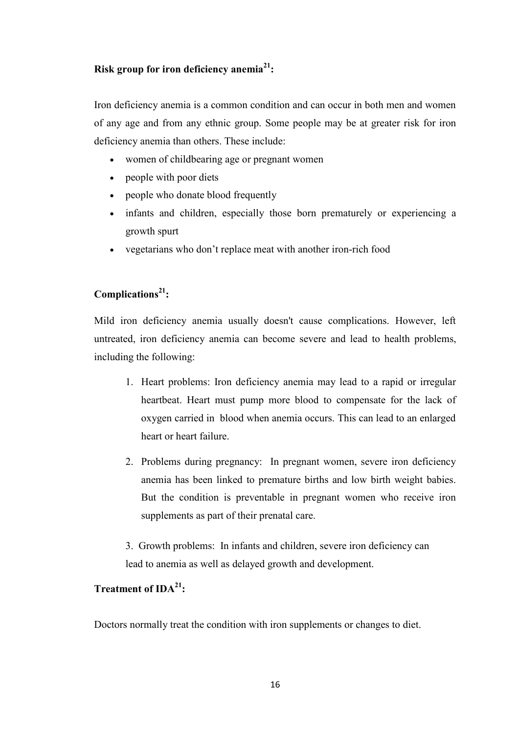## **Risk group for iron deficiency anemia<sup>21</sup>:**

Iron deficiency anemia is a common condition and can occur in both men and women of any age and from any ethnic group. Some people may be at greater risk for iron deficiency anemia than others. These include:

- women of childbearing age or pregnant women
- people with poor diets
- people who donate blood frequently
- infants and children, especially those born prematurely or experiencing a growth spurt
- vegetarians who don't replace meat with another iron-rich food

## **Complications<sup>21</sup>:**

Mild iron deficiency anemia usually doesn't cause complications. However, left untreated, iron deficiency anemia can become severe and lead to health problems, including the following:

- 1. Heart problems: Iron deficiency anemia may lead to a rapid or irregular heartbeat. Heart must pump more blood to compensate for the lack of oxygen carried in blood when anemia occurs. This can lead to an enlarged heart or heart failure.
- 2. Problems during pregnancy: In pregnant women, severe iron deficiency anemia has been linked to premature births and low birth weight babies. But the condition is preventable in pregnant women who receive iron supplements as part of their prenatal care.
- 3. Growth problems: In infants and children, severe iron deficiency can lead to anemia as well as delayed growth and development.

## **Treatment of IDA<sup>21</sup>:**

Doctors normally treat the condition with iron supplements or changes to diet.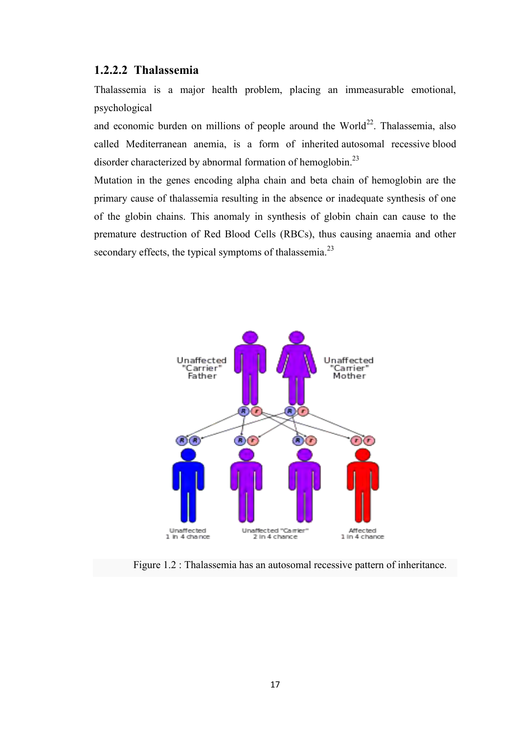### **1.2.2.2 Thalassemia**

Thalassemia is a major health problem, placing an immeasurable emotional, psychological

and economic burden on millions of people around the World<sup>22</sup>. Thalassemia, also called Mediterranean anemia, is a form of inherited [autosomal recessive](https://en.wikipedia.org/wiki/Autosomal_recessive) [blood](https://en.wikipedia.org/wiki/Blood_disorder)  [disorder](https://en.wikipedia.org/wiki/Blood_disorder) characterized by abnormal formation of [hemoglobin.](https://en.wikipedia.org/wiki/Hemoglobin)<sup>[23](https://en.wikipedia.org/wiki/Thalassemia#cite_note-Thalassemia-1)</sup>

Mutation in the genes encoding alpha chain and beta chain of hemoglobin are the primary cause of thalassemia resulting in the absence or inadequate synthesis of one of the globin chains. This anomaly in synthesis of globin chain can cause to the premature destruction of Red Blood Cells (RBCs), thus causing anaemia and other secondary effects, the typical symptoms of thalassemia.<sup>23</sup>



Figure 1.2 : Thalassemia has an [autosomal recessive](https://en.wikipedia.org/wiki/Autosomal_recessive) pattern of inheritance.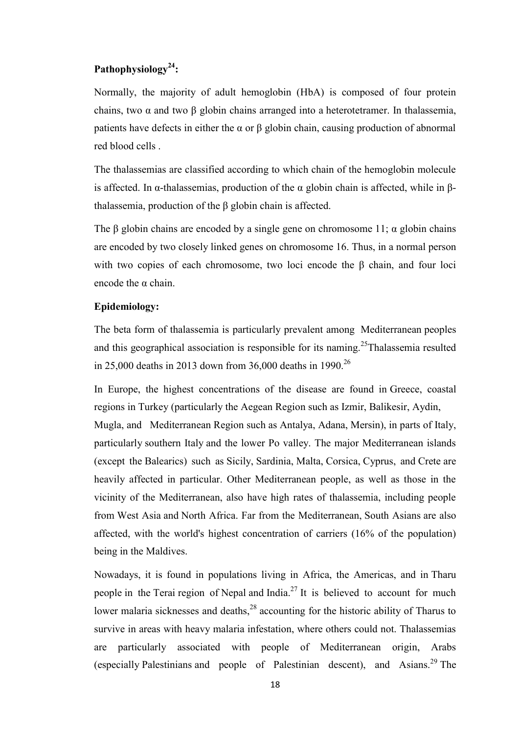## **Pathophysiology<sup>24</sup>:**

Normally, the majority of adult hemoglobin [\(HbA\)](https://en.wikipedia.org/wiki/Hemoglobin_A) is composed of four protein chains, two α and two β globin chains arranged into a [heterotetramer.](https://en.wikipedia.org/wiki/Heterotetramer) In thalassemia, patients have defects in either the  $\alpha$  or  $\beta$  globin chain, causing production of abnormal red blood cells .

The thalassemias are classified according to which chain of the hemoglobin molecule is affected. In [α-thalassemias,](https://en.wikipedia.org/wiki/Alpha-thalassemia) production of the α globin chain is affected, while in [β](https://en.wikipedia.org/wiki/Beta-thalassemia)[thalassemia,](https://en.wikipedia.org/wiki/Beta-thalassemia) production of the β globin chain is affected.

The β globin chains are encoded by a single gene on [chromosome 11;](https://en.wikipedia.org/wiki/Chromosome_11)  $\alpha$  globin chains are encoded by two closely linked genes on [chromosome 16.](https://en.wikipedia.org/wiki/Chromosome_16) Thus, in a normal person with two copies of each chromosome, two loci encode the β chain, and four loci encode the α chain.

#### **Epidemiology:**

The beta form of thalassemia is particularly prevalent among [Mediterranean](https://en.wikipedia.org/wiki/Mediterranean) peoples and this geographical association is responsible for its naming.<sup>25</sup>Thalassemia resulted in 25,000 deaths in 2013 down from 36,000 deaths in 1990.<sup>26</sup>

In Europe, the highest concentrations of the disease are found in [Greece,](https://en.wikipedia.org/wiki/Greece) coastal regions in [Turkey](https://en.wikipedia.org/wiki/Turkey) (particularly the [Aegean Region](https://en.wikipedia.org/wiki/Aegean_Region) such as [Izmir,](https://en.wikipedia.org/wiki/Izmir) [Balikesir,](https://en.wikipedia.org/wiki/Balikesir) [Aydin,](https://en.wikipedia.org/wiki/Aydin) [Mugla,](https://en.wikipedia.org/wiki/Mugla) and [Mediterranean Region](https://en.wikipedia.org/wiki/Mediterranean_Region) such as [Antalya,](https://en.wikipedia.org/wiki/Antalya) [Adana,](https://en.wikipedia.org/wiki/Adana) [Mersin\)](https://en.wikipedia.org/wiki/Mersin), in parts of [Italy,](https://en.wikipedia.org/wiki/Italy) particularly [southern Italy](https://en.wikipedia.org/wiki/Southern_Italy) and the lower Po valley. The major Mediterranean islands (except the [Balearics\)](https://en.wikipedia.org/wiki/Balearics) such as [Sicily,](https://en.wikipedia.org/wiki/Sicily) [Sardinia,](https://en.wikipedia.org/wiki/Sardinia) [Malta,](https://en.wikipedia.org/wiki/Malta) [Corsica,](https://en.wikipedia.org/wiki/Corsica) [Cyprus,](https://en.wikipedia.org/wiki/Cyprus) and [Crete](https://en.wikipedia.org/wiki/Crete) are heavily affected in particular. Other Mediterranean people, as well as those in the vicinity of the Mediterranean, also have high rates of thalassemia, including people from [West Asia](https://en.wikipedia.org/wiki/West_Asia) and [North Africa.](https://en.wikipedia.org/wiki/North_Africa) Far from the Mediterranean, [South Asians](https://en.wikipedia.org/wiki/South_Asians) are also affected, with the world's highest concentration of carriers (16% of the population) being in the [Maldives.](https://en.wikipedia.org/wiki/Maldives)

Nowadays, it is found in populations living in Africa, the Americas, and in [Tharu](https://en.wikipedia.org/wiki/Tharu_people)  [people](https://en.wikipedia.org/wiki/Tharu_people) in the [Terai](https://en.wikipedia.org/wiki/Terai) region of [Nepal](https://en.wikipedia.org/wiki/Nepal) and [India.](https://en.wikipedia.org/wiki/India)<sup>[27](https://en.wikipedia.org/wiki/Thalassemia#cite_note-26)</sup> It is believed to account for much lower malaria sicknesses and deaths, $28$  accounting for the historic ability of Tharus to survive in areas with heavy malaria infestation, where others could not. Thalassemias are particularly associated with people of Mediterranean origin, Arabs (especially [Palestinians](https://en.wikipedia.org/wiki/Palestinian_people) and people of Palestinian descent), and Asians.<sup>[29](https://en.wikipedia.org/wiki/Thalassemia#cite_note-28)</sup> The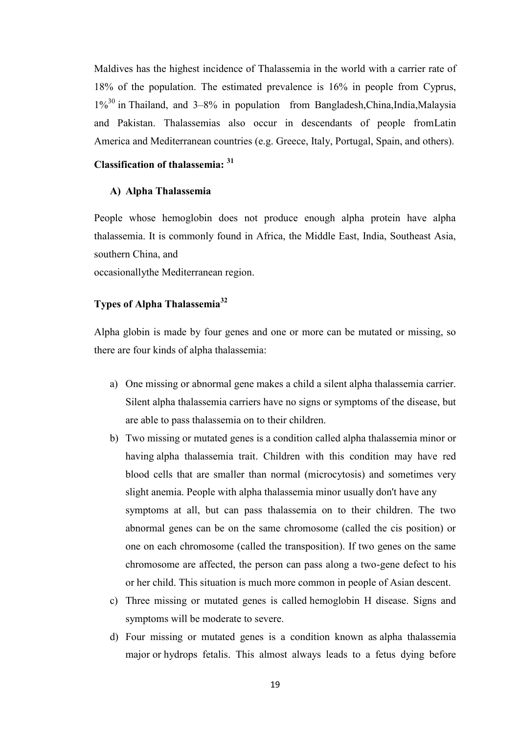Maldives has the highest incidence of Thalassemia in the world with a carrier rate of 18% of the population. The estimated prevalence is 16% in people from [Cyprus,](https://en.wikipedia.org/wiki/Cyprus)  $1\%$ <sup>[30](https://en.wikipedia.org/wiki/Thalassemia#cite_note-29)</sup> in [Thailand,](https://en.wikipedia.org/wiki/Thailand) and 3–8% in population from Bangladesh, China, India, Malaysia and Pakistan. Thalassemias also occur in descendants of people fro[mLatin](https://en.wikipedia.org/wiki/Latin_America)  [America](https://en.wikipedia.org/wiki/Latin_America) and Mediterranean countries (e.g. Greece, Italy, Portugal, Spain, and others).

## **Classification of thalassemia: <sup>31</sup>**

#### **A) Alpha Thalassemia**

People whose hemoglobin does not produce enough alpha protein have alpha thalassemia. It is commonly found in Africa, the Middle East, India, Southeast Asia, southern China, and

occasionallythe Mediterranean region.

## **Types of Alpha Thalassemia<sup>32</sup>**

Alpha globin is made by four genes and one or more can be mutated or missing, so there are four kinds of alpha thalassemia:

- a) One missing or abnormal gene makes a child a silent alpha thalassemia carrier. Silent alpha thalassemia carriers have no signs or symptoms of the disease, but are able to pass thalassemia on to their children.
- b) Two missing or mutated genes is a condition called alpha thalassemia minor or having alpha thalassemia trait. Children with this condition may have red blood cells that are smaller than normal (microcytosis) and sometimes very slight anemia. People with alpha thalassemia minor usually don't have any symptoms at all, but can pass thalassemia on to their children. The two abnormal genes can be on the same chromosome (called the cis position) or one on each chromosome (called the transposition). If two genes on the same chromosome are affected, the person can pass along a two-gene defect to his or her child. This situation is much more common in people of Asian descent.
- c) Three missing or mutated genes is called hemoglobin H disease. Signs and symptoms will be moderate to severe.
- d) Four missing or mutated genes is a condition known as alpha thalassemia major or hydrops fetalis. This almost always leads to a fetus dying before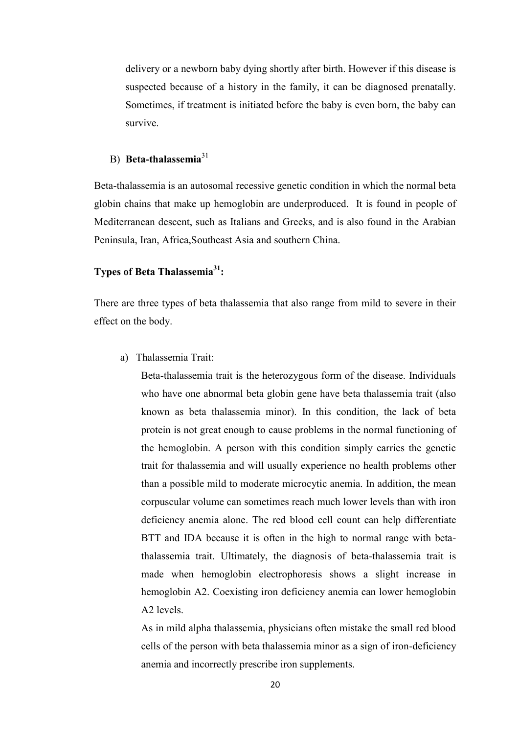delivery or a newborn baby dying shortly after birth. However if this disease is suspected because of a history in the family, it can be diagnosed prenatally. Sometimes, if treatment is initiated before the baby is even born, the baby can survive.

## B) **Beta-thalassemia**<sup>31</sup>

Beta-thalassemia is an autosomal recessive genetic condition in which the normal beta globin chains that make up hemoglobin are underproduced. It is found in people of Mediterranean descent, such as Italians and Greeks, and is also found in the Arabian Peninsula, Iran, Africa,Southeast Asia and southern China.

#### **Types of Beta Thalassemia<sup>31</sup>:**

There are three types of beta thalassemia that also range from mild to severe in their effect on the body.

a) Thalassemia Trait:

Beta-thalassemia trait is the heterozygous form of the disease. Individuals who have one abnormal beta globin gene have beta thalassemia trait (also known as beta thalassemia minor). In this condition, the lack of beta protein is not great enough to cause problems in the normal functioning of the hemoglobin. A person with this condition simply carries the genetic trait for thalassemia and will usually experience no health problems other than a possible mild to moderate microcytic anemia. In addition, the mean corpuscular volume can sometimes reach much lower levels than with iron deficiency anemia alone. The red blood cell count can help differentiate BTT and IDA because it is often in the high to normal range with betathalassemia trait. Ultimately, the diagnosis of beta-thalassemia trait is made when hemoglobin electrophoresis shows a slight increase in hemoglobin A2. Coexisting iron deficiency anemia can lower hemoglobin A2 levels.

As in mild alpha thalassemia, physicians often mistake the small red blood cells of the person with beta thalassemia minor as a sign of iron-deficiency anemia and incorrectly prescribe iron supplements.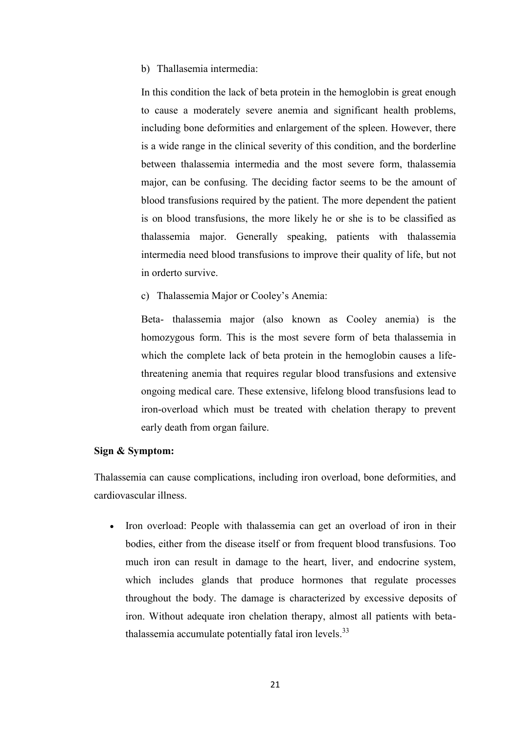#### b) Thallasemia intermedia:

In this condition the lack of beta protein in the hemoglobin is great enough to cause a moderately severe anemia and significant health problems, including bone deformities and enlargement of the spleen. However, there is a wide range in the clinical severity of this condition, and the borderline between thalassemia intermedia and the most severe form, thalassemia major, can be confusing. The deciding factor seems to be the amount of blood transfusions required by the patient. The more dependent the patient is on blood transfusions, the more likely he or she is to be classified as thalassemia major. Generally speaking, patients with thalassemia intermedia need blood transfusions to improve their quality of life, but not in orderto survive.

c) Thalassemia Major or Cooley's Anemia:

Beta- thalassemia major (also known as Cooley anemia) is the homozygous form. This is the most severe form of beta thalassemia in which the complete lack of beta protein in the hemoglobin causes a lifethreatening anemia that requires regular blood transfusions and extensive ongoing medical care. These extensive, lifelong blood transfusions lead to iron-overload which must be treated with chelation therapy to prevent early death from organ failure.

#### **Sign & Symptom:**

Thalassemia can cause complications, including iron overload, bone deformities, and cardiovascular illness.

• [Iron overload:](https://en.wikipedia.org/wiki/Iron_overload) People with thalassemia can get an overload of iron in their bodies, either from the disease itself or from frequent blood transfusions. Too much iron can result in damage to the heart, liver, and endocrine system, which includes glands that produce hormones that regulate processes throughout the body. The damage is characterized by excessive deposits of iron. Without adequate iron chelation therapy, almost all patients with betathalassemia accumulate potentially fatal iron levels. $33$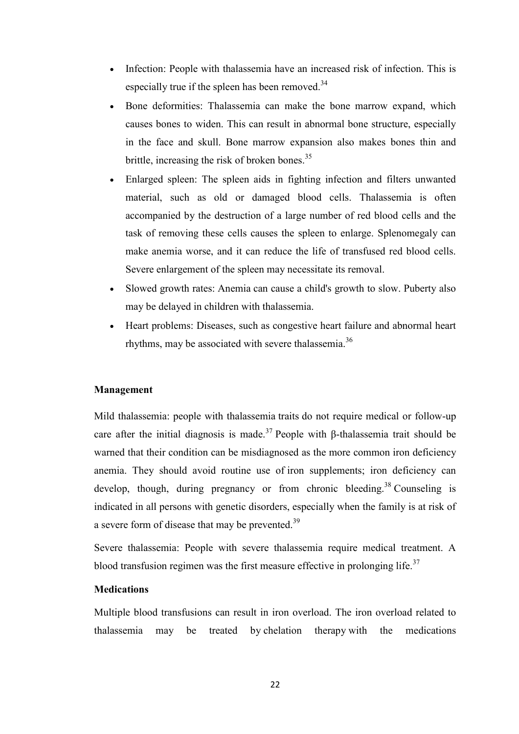- Infection: People with thalassemia have an increased risk of infection. This is especially true if the spleen has been removed. $34$
- Bone deformities: Thalassemia can make the bone marrow expand, which causes bones to widen. This can result in abnormal bone structure, especially in the face and skull. Bone marrow expansion also makes bones thin and brittle, increasing the risk of broken bones.<sup>35</sup>
- [Enlarged spleen:](https://en.wikipedia.org/wiki/Splenomegaly) The spleen aids in fighting infection and filters unwanted material, such as old or damaged blood cells. Thalassemia is often accompanied by the destruction of a large number of red blood cells and the task of removing these cells causes the spleen to enlarge. Splenomegaly can make anemia worse, and it can reduce the life of transfused red blood cells. Severe enlargement of the spleen may necessitate its removal.
- Slowed growth rates: [Anemia](https://en.wikipedia.org/wiki/Anemia) can cause a child's growth to slow. Puberty also may be delayed in children with thalassemia.
- Heart problems: Diseases, such as congestive heart failure and abnormal heart rhythms, may be associated with severe thalassemia.<sup>36</sup>

#### **Management**

Mild thalassemia: people with thalassemia [traits](https://en.wikipedia.org/wiki/Phenotypic_trait) do not require medical or follow-up care after the initial diagnosis is made.<sup>37</sup> People with β-thalassemia trait should be warned that their condition can be misdiagnosed as the more common iron deficiency [anemia.](https://en.wikipedia.org/wiki/Iron_deficiency_anemia) They should avoid routine use of [iron supplements;](https://en.wikipedia.org/wiki/Iron_supplements) iron deficiency can develop, though, during pregnancy or from chronic bleeding.<sup>[38](https://en.wikipedia.org/wiki/Thalassemia#cite_note-15)</sup> Counseling is indicated in all persons with genetic disorders, especially when the family is at risk of a severe form of disease that may be prevented.<sup>39</sup>

Severe thalassemia: People with severe thalassemia require medical treatment. A blood transfusion regimen was the first measure effective in prolonging life.<sup>37</sup>

#### **Medications**

Multiple blood transfusions can result in iron overload. The iron overload related to thalassemia may be treated by [chelation therapy](https://en.wikipedia.org/wiki/Chelation_therapy) with the medications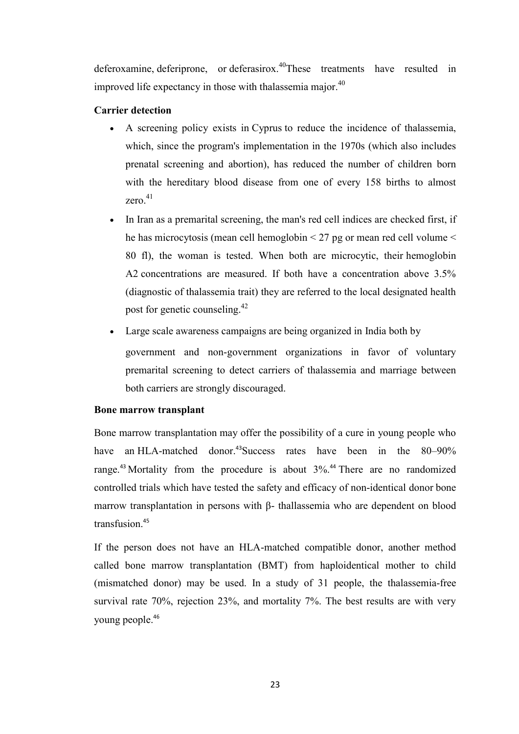[deferoxamine,](https://en.wikipedia.org/wiki/Deferoxamine) [deferiprone,](https://en.wikipedia.org/wiki/Deferiprone) or [deferasirox.](https://en.wikipedia.org/wiki/Deferasirox)<sup>40</sup>These treatments have resulted in improved life expectancy in those with thalassemia major. $40$ 

## **Carrier detection**

- A screening policy exists in [Cyprus](https://en.wikipedia.org/wiki/Cyprus) to reduce the incidence of thalassemia, which, since the program's implementation in the 1970s (which also includes prenatal screening and abortion), has reduced the number of children born with the hereditary blood disease from one of every 158 births to almost zero $41$
- In [Iran](https://en.wikipedia.org/wiki/Iran) as a premarital screening, the man's red cell indices are checked first, if he has [microcytosis](https://en.wikipedia.org/wiki/Microcytosis) [\(mean cell hemoglobin](https://en.wikipedia.org/wiki/Mean_corpuscular_hemoglobin) < 27 pg or [mean red cell volume](https://en.wikipedia.org/wiki/Mean_corpuscular_volume) < 80 fl), the woman is tested. When both are microcytic, their [hemoglobin](https://en.wikipedia.org/wiki/Hemoglobin_A2)  [A2](https://en.wikipedia.org/wiki/Hemoglobin_A2) concentrations are measured. If both have a concentration above 3.5% (diagnostic of thalassemia trait) they are referred to the local designated health post for [genetic counseling.](https://en.wikipedia.org/wiki/Genetic_counseling)<sup>42</sup>
- Large scale awareness campaigns are being organized in [India](https://en.wikipedia.org/wiki/India) both by government and non-government organizations in favor of voluntary premarital screening to detect carriers of thalassemia and marriage between both carriers are strongly discouraged.

## **Bone marrow transplant**

[Bone marrow transplantation](https://en.wikipedia.org/wiki/Hematopoietic_stem_cell_transplantation) may offer the possibility of a cure in young people who have an [HLA-](https://en.wikipedia.org/wiki/Human_leukocyte_antigen)matched donor.<sup>43</sup>Success rates have been in the 80–90% range.<sup>43</sup> Mortality from the procedure is about  $3\%$ .<sup>44</sup> There are no randomized controlled trials which have tested the safety and efficacy of [non-identical donor](https://en.wikipedia.org/wiki/Allogeneic) bone marrow transplantation in persons with β- thallassemia who are dependent on blood transfusion<sup>45</sup>

If the person does not have an HLA-matched compatible donor, another method called bone marrow transplantation (BMT) from haploidentical mother to child (mismatched donor) may be used. In a study of 31 people, the thalassemia-free survival rate 70%, rejection 23%, and mortality 7%. The best results are with very young people.46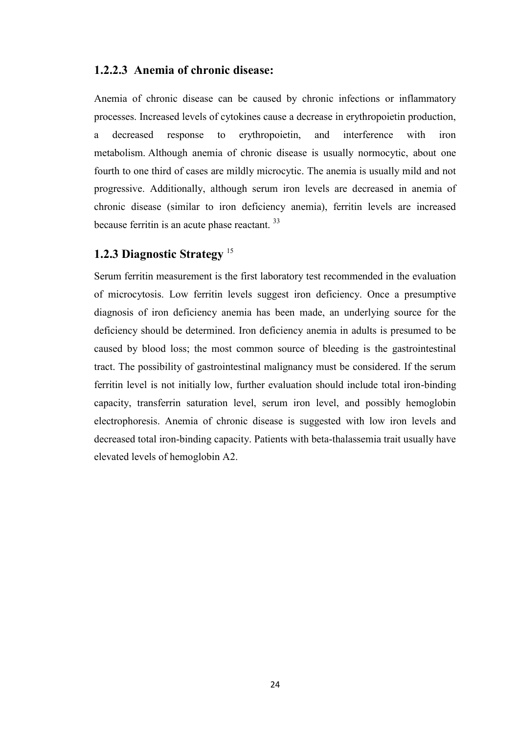### **1.2.2.3 Anemia of chronic disease:**

Anemia of chronic disease can be caused by chronic infections or inflammatory processes. Increased levels of cytokines cause a decrease in erythropoietin production, a decreased response to erythropoietin, and interference with iron metabolism. Although anemia of chronic disease is usually normocytic, about one fourth to one third of cases are mildly microcytic. The anemia is usually mild and not progressive. Additionally, although serum iron levels are decreased in anemia of chronic disease (similar to iron deficiency anemia), ferritin levels are increased because ferritin is an acute phase reactant. <sup>33</sup>

## **1.2.3 Diagnostic Strategy** <sup>15</sup>

Serum ferritin measurement is the first laboratory test recommended in the evaluation of microcytosis. Low ferritin levels suggest iron deficiency. Once a presumptive diagnosis of iron deficiency anemia has been made, an underlying source for the deficiency should be determined. Iron deficiency anemia in adults is presumed to be caused by blood loss; the most common source of bleeding is the gastrointestinal tract. The possibility of gastrointestinal malignancy must be considered. If the serum ferritin level is not initially low, further evaluation should include total iron-binding capacity, transferrin saturation level, serum iron level, and possibly hemoglobin electrophoresis. Anemia of chronic disease is suggested with low iron levels and decreased total iron-binding capacity. Patients with beta-thalassemia trait usually have elevated levels of hemoglobin A2.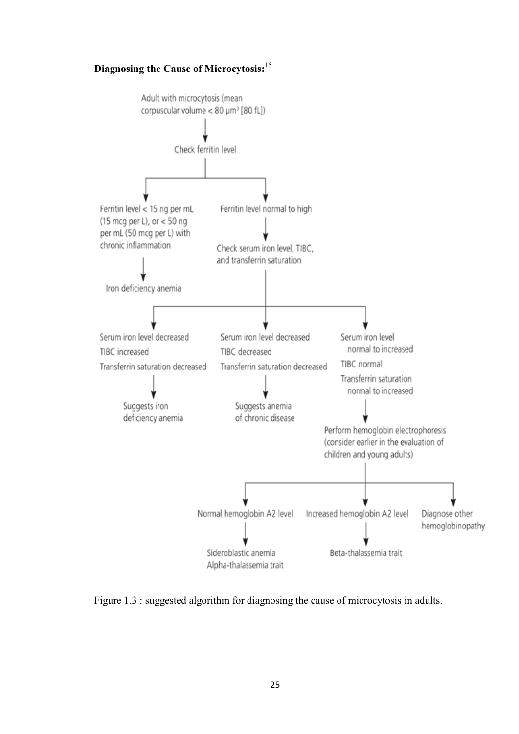## **Diagnosing the Cause of Microcytosis:**<sup>15</sup>



Figure 1.3 : suggested algorithm for diagnosing the cause of microcytosis in adults.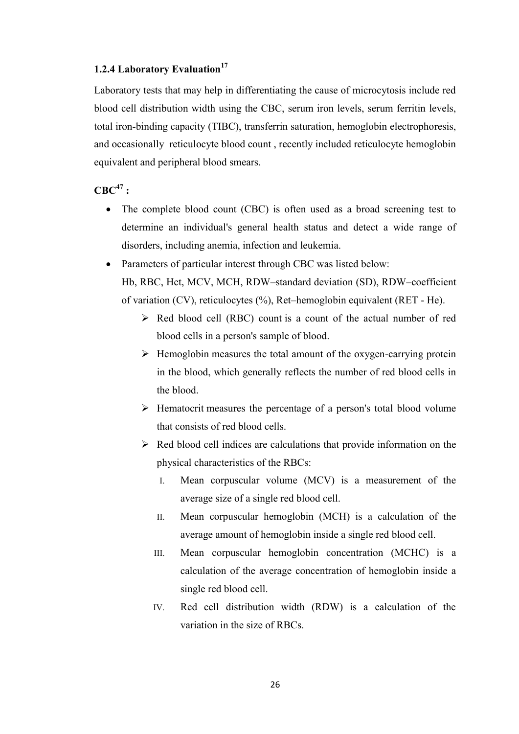### **1.2.4 Laboratory Evaluation<sup>17</sup>**

Laboratory tests that may help in differentiating the cause of microcytosis include red blood cell distribution width using the CBC, serum iron levels, serum ferritin levels, total iron-binding capacity (TIBC), transferrin saturation, hemoglobin electrophoresis, and occasionally reticulocyte blood count , recently included reticulocyte hemoglobin equivalent and peripheral blood smears.

## $CRC<sup>47</sup>$  **:**

- The complete blood count (CBC) is often used as a broad screening test to determine an individual's general health status and detect a wide range of disorders, including anemia, infection and leukemia.
- Parameters of particular interest through CBC was listed below:

Hb, RBC, Hct, MCV, MCH, RDW–standard deviation (SD), RDW–coefficient of variation (CV), reticulocytes (%), Ret–hemoglobin equivalent (RET - He).

- $\triangleright$  [Red blood cell \(RBC\) count](https://labtestsonline.org/understanding/analytes/rbc/) is a count of the actual number of red blood cells in a person's sample of blood.
- $\triangleright$  [Hemoglobin](https://labtestsonline.org/understanding/analytes/hemoglobin/) measures the total amount of the oxygen-carrying protein in the blood, which generally reflects the number of red blood cells in the blood.
- $\triangleright$  [Hematocrit](https://labtestsonline.org/understanding/analytes/hematocrit/) measures the percentage of a person's total blood volume that consists of red blood cells.
- $\triangleright$  Red blood cell indices are calculations that provide information on the physical characteristics of the RBCs:
	- I. Mean corpuscular volume (MCV) is a measurement of the average size of a single red blood cell.
	- II. Mean corpuscular hemoglobin (MCH) is a calculation of the average amount of hemoglobin inside a single red blood cell.
	- III. Mean corpuscular hemoglobin concentration (MCHC) is a calculation of the average concentration of hemoglobin inside a single red blood cell.
	- IV. Red cell distribution width (RDW) is a calculation of the variation in the size of RBCs.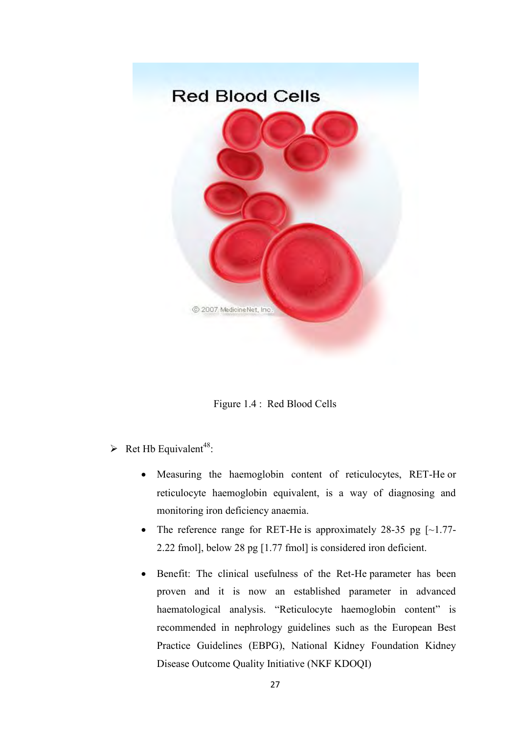

Figure 1.4 : Red Blood Cells

- Ret Hb Equivalent<sup>48</sup>:
	- Measuring the haemoglobin content of reticulocytes, RET-He or reticulocyte haemoglobin equivalent, is a way of diagnosing and monitoring iron deficiency anaemia.
	- The reference range for RET-He is approximately 28-35 pg  $\lceil \sim 1.77 1.77 \rceil$ 2.22 fmol], below 28 pg [1.77 fmol] is considered iron deficient.
	- Benefit: The clinical usefulness of the Ret-He parameter has been proven and it is now an established parameter in advanced haematological analysis. "Reticulocyte haemoglobin content" is recommended in nephrology guidelines such as the European Best Practice Guidelines (EBPG), National Kidney Foundation Kidney Disease Outcome Quality Initiative (NKF KDOQI)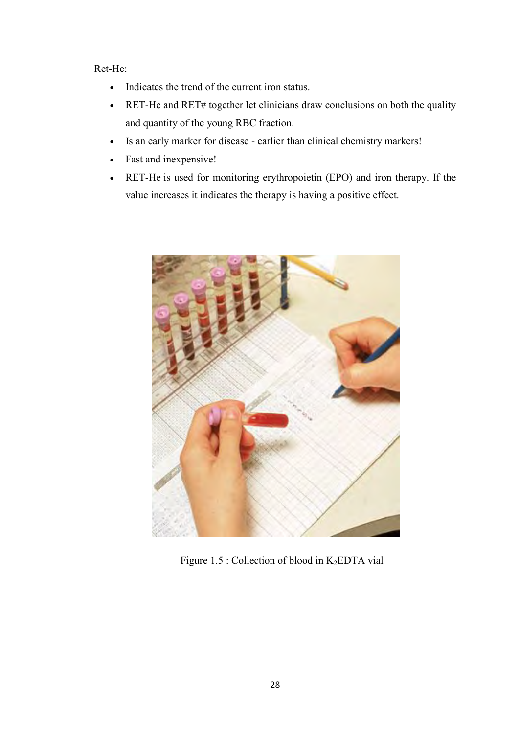## Ret-He:

- Indicates the trend of the current iron status.
- RET-He and RET# together let clinicians draw conclusions on both the quality and quantity of the young RBC fraction.
- Is an early marker for disease earlier than clinical chemistry markers!
- Fast and inexpensive!
- RET-He is used for monitoring erythropoietin (EPO) and iron therapy. If the value increases it indicates the therapy is having a positive effect.



Figure 1.5 : Collection of blood in  $K_2EDTA$  vial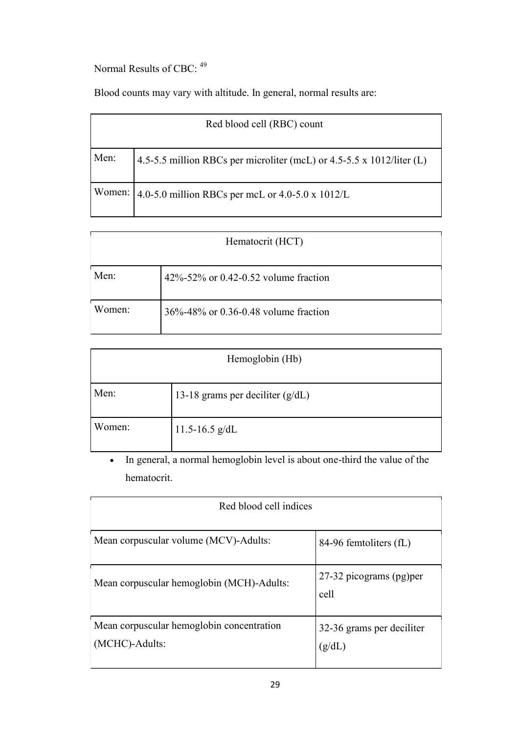Normal Results of CBC: <sup>49</sup>

Blood counts may vary with altitude. In general, normal results are:

|      | Red blood cell (RBC) count                                            |
|------|-----------------------------------------------------------------------|
| Men: | 4.5-5.5 million RBCs per microliter (mcL) or 4.5-5.5 x 1012/liter (L) |
|      | Women: $\vert$ 4.0-5.0 million RBCs per mcL or 4.0-5.0 x 1012/L       |

|        | Hematocrit (HCT)                     |
|--------|--------------------------------------|
| Men:   | 42%-52% or 0.42-0.52 volume fraction |
| Women: | 36%-48% or 0.36-0.48 volume fraction |

|        | Hemoglobin (Hb)                    |
|--------|------------------------------------|
| Men:   | 13-18 grams per deciliter $(g/dL)$ |
| Women: | 11.5-16.5 $g/dL$                   |

 In general, a normal hemoglobin level is about one-third the value of the hematocrit.

| Red blood cell indices                                      |                                     |  |
|-------------------------------------------------------------|-------------------------------------|--|
| Mean corpuscular volume (MCV)-Adults:                       | 84-96 femtoliters (fL)              |  |
| Mean corpuscular hemoglobin (MCH)-Adults:                   | 27-32 picograms (pg) per<br>cell    |  |
| Mean corpuscular hemoglobin concentration<br>(MCHC)-Adults: | 32-36 grams per deciliter<br>(g/dL) |  |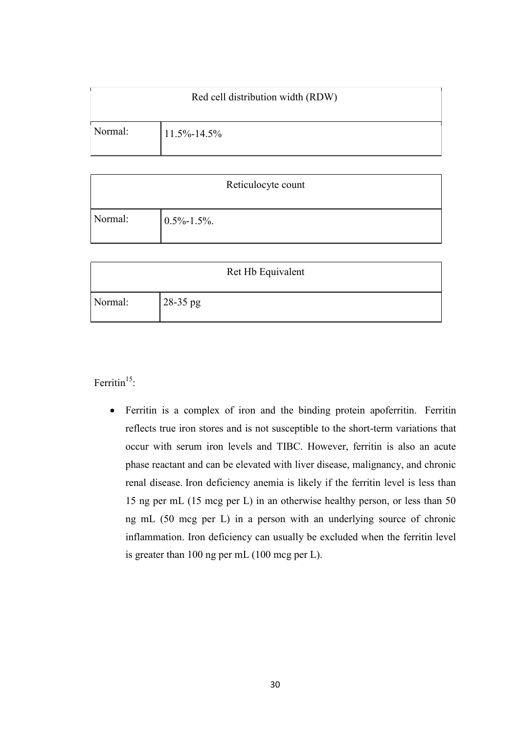|         | Red cell distribution width (RDW) |
|---------|-----------------------------------|
| Normal: | $11.5\% - 14.5\%$                 |

|         | Reticulocyte count |
|---------|--------------------|
|         |                    |
| Normal: | $0.5\% - 1.5\%$ .  |
|         |                    |

|         | Ret Hb Equivalent |
|---------|-------------------|
| Normal: | 28-35 pg          |

Ferritin<sup>15</sup>:

 Ferritin is a complex of iron and the binding protein apoferritin. Ferritin reflects true iron stores and is not susceptible to the short-term variations that occur with serum iron levels and TIBC. However, ferritin is also an acute phase reactant and can be elevated with liver disease, malignancy, and chronic renal disease. Iron deficiency anemia is likely if the ferritin level is less than 15 ng per mL (15 mcg per L) in an otherwise healthy person, or less than 50 ng mL (50 mcg per L) in a person with an underlying source of chronic inflammation. Iron deficiency can usually be excluded when the ferritin level is greater than 100 ng per mL (100 mcg per L).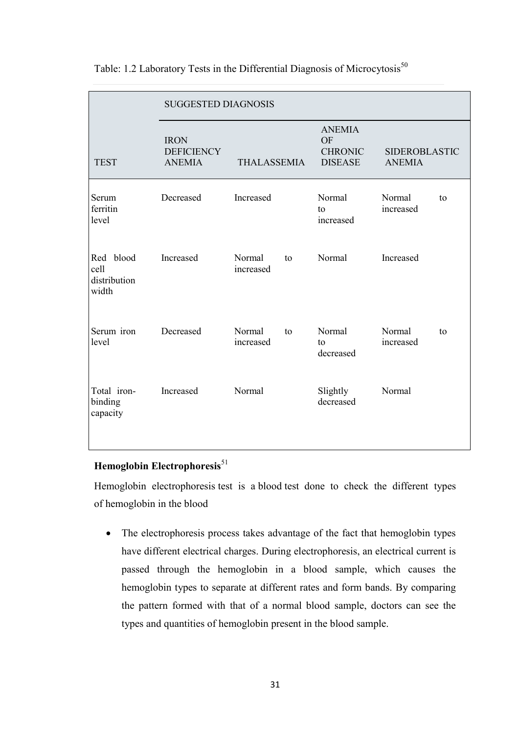|                                               | <b>SUGGESTED DIAGNOSIS</b>                        |                     |    |                                                                |                                       |    |
|-----------------------------------------------|---------------------------------------------------|---------------------|----|----------------------------------------------------------------|---------------------------------------|----|
| <b>TEST</b>                                   | <b>IRON</b><br><b>DEFICIENCY</b><br><b>ANEMIA</b> | <b>THALASSEMIA</b>  |    | <b>ANEMIA</b><br><b>OF</b><br><b>CHRONIC</b><br><b>DISEASE</b> | <b>SIDEROBLASTIC</b><br><b>ANEMIA</b> |    |
| Serum<br>ferritin<br>level                    | Decreased                                         | Increased           |    | Normal<br>to<br>increased                                      | Normal<br>increased                   | to |
| blood<br>Red<br>cell<br>distribution<br>width | Increased                                         | Normal<br>increased | to | Normal                                                         | Increased                             |    |
| Serum iron<br>level                           | Decreased                                         | Normal<br>increased | to | Normal<br>to<br>decreased                                      | Normal<br>increased                   | to |
| Total iron-<br>binding<br>capacity            | Increased                                         | Normal              |    | Slightly<br>decreased                                          | Normal                                |    |

## Table: 1.2 Laboratory Tests in the Differential Diagnosis of Microcytosis<sup>50</sup>

## **Hemoglobin Electrophoresis**<sup>51</sup>

[Hemoglobin electrophoresis](http://www.webmd.com/a-to-z-guides/hemoglobin-electrophoresis) test is a [blood](http://www.webmd.com/heart/anatomy-picture-of-blood) test done to check the different types of [hemoglobin](http://www.webmd.com/hw-popup/hemoglobin-7998) in the [blood](http://www.webmd.com/a-to-z-guides/rm-quiz-blood-basics)

• The electrophoresis process takes advantage of the fact that hemoglobin types have different electrical charges. During electrophoresis, an electrical current is passed through the hemoglobin in a blood sample, which causes the hemoglobin types to separate at different rates and form bands. By comparing the pattern formed with that of a normal blood sample, doctors can see the types and quantities of hemoglobin present in the blood sample.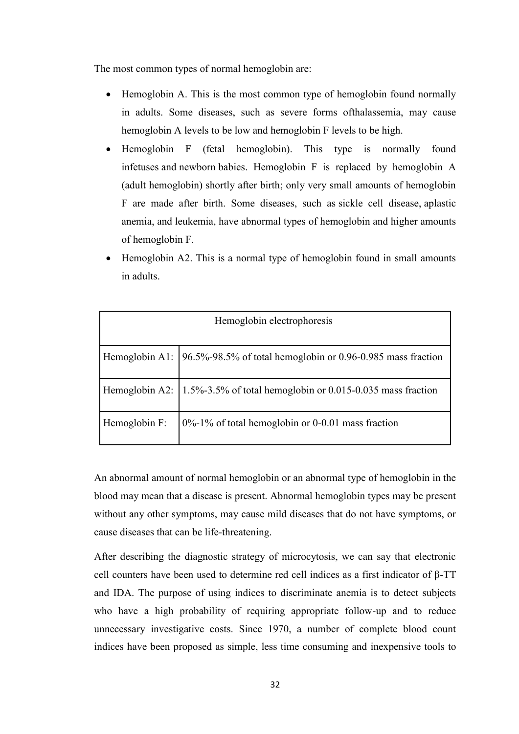The most common types of normal hemoglobin are:

- Hemoglobin A. This is the most common type of hemoglobin found normally in adults. Some diseases, such as severe forms o[fthalassemia,](http://www.webmd.com/hw-popup/thalassemia) may cause hemoglobin A levels to be low and hemoglobin F levels to be high.
- Hemoglobin F (fetal hemoglobin). This type is normally found i[nfetuses](http://www.webmd.com/hw-popup/fetus) and [newborn](http://www.webmd.com/parenting/baby/default.htm) babies. Hemoglobin F is replaced by hemoglobin A (adult hemoglobin) shortly after birth; only very small amounts of hemoglobin F are made after birth. Some diseases, such as [sickle cell disease,](http://www.webmd.com/hw-popup/sickle-cell-disease-7481) [aplastic](http://www.webmd.com/hw-popup/aplastic-anemia)  [anemia,](http://www.webmd.com/hw-popup/aplastic-anemia) and [leukemia,](http://www.webmd.com/hw-popup/leukemia) have abnormal types of hemoglobin and higher amounts of hemoglobin F.
- Hemoglobin A2. This is a normal type of hemoglobin found in small amounts in adults.

|               | Hemoglobin electrophoresis                                                                     |
|---------------|------------------------------------------------------------------------------------------------|
|               | Hemoglobin A1: 196.5%-98.5% of total hemoglobin or 0.96-0.985 mass fraction                    |
|               | Hemoglobin A2: $\left  1.5\% - 3.5\% \right $ of total hemoglobin or 0.015-0.035 mass fraction |
| Hemoglobin F: | $0\%$ -1% of total hemoglobin or 0-0.01 mass fraction                                          |

An abnormal amount of normal hemoglobin or an abnormal type of hemoglobin in the blood may mean that a disease is present. Abnormal hemoglobin types may be present without any other symptoms, may cause mild diseases that do not have symptoms, or cause diseases that can be life-threatening.

After describing the diagnostic strategy of microcytosis, we can say that electronic cell counters have been used to determine red cell indices as a first indicator of β-TT and IDA. The purpose of using indices to discriminate anemia is to detect subjects who have a high probability of requiring appropriate follow-up and to reduce unnecessary investigative costs. Since 1970, a number of complete blood count indices have been proposed as simple, less time consuming and inexpensive tools to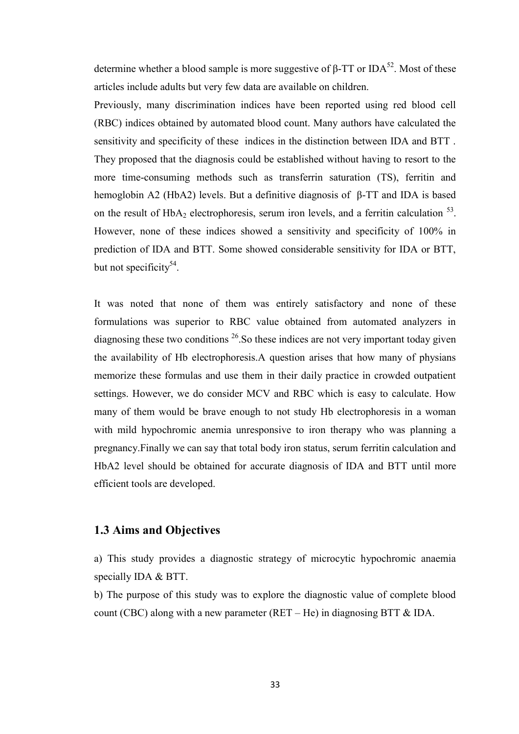determine whether a blood sample is more suggestive of β-TT or IDA<sup>52</sup>. Most of these articles include adults but very few data are available on children.

Previously, many discrimination indices have been reported using red blood cell (RBC) indices obtained by automated blood count. Many authors have calculated the sensitivity and specificity of these indices in the distinction between IDA and BTT . They proposed that the diagnosis could be established without having to resort to the more time-consuming methods such as transferrin saturation (TS), ferritin and hemoglobin A2 (HbA2) levels. But a definitive diagnosis of β-TT and IDA is based on the result of  $HbA_2$  electrophoresis, serum iron levels, and a ferritin calculation  $^{53}$ . However, none of these indices showed a sensitivity and specificity of 100% in prediction of IDA and BTT. Some showed considerable sensitivity for IDA or BTT, but not specificity<sup>54</sup>.

It was noted that none of them was entirely satisfactory and none of these formulations was superior to RBC value obtained from automated analyzers in diagnosing these two conditions  $26$ . So these indices are not very important today given the availability of Hb electrophoresis.A question arises that how many of physians memorize these formulas and use them in their daily practice in crowded outpatient settings. However, we do consider MCV and RBC which is easy to calculate. How many of them would be brave enough to not study Hb electrophoresis in a woman with mild hypochromic anemia unresponsive to iron therapy who was planning a pregnancy.Finally we can say that total body iron status, serum ferritin calculation and HbA2 level should be obtained for accurate diagnosis of IDA and BTT until more efficient tools are developed.

#### **1.3 Aims and Objectives**

a) This study provides a diagnostic strategy of microcytic hypochromic anaemia specially IDA & BTT.

b) The purpose of this study was to explore the diagnostic value of complete blood count (CBC) along with a new parameter (RET – He) in diagnosing BTT  $\&$  IDA.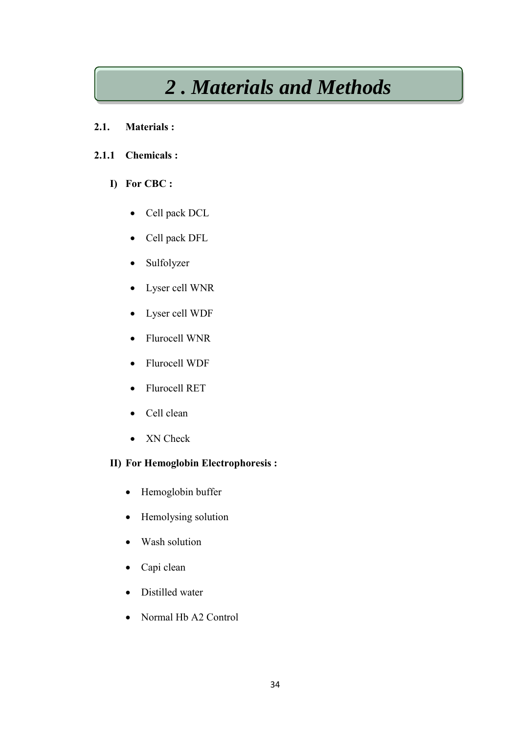# *2 . Materials and Methods*

## **2.1. Materials :**

## **2.1.1 Chemicals :**

## **I) For CBC :**

- Cell pack DCL
- Cell pack DFL
- Sulfolyzer
- Lyser cell WNR
- Lyser cell WDF
- Flurocell WNR
- Flurocell WDF
- Flurocell RET
- Cell clean
- XN Check

## **II) For Hemoglobin Electrophoresis :**

- Hemoglobin buffer
- Hemolysing solution
- Wash solution
- Capi clean
- Distilled water
- Normal Hb A2 Control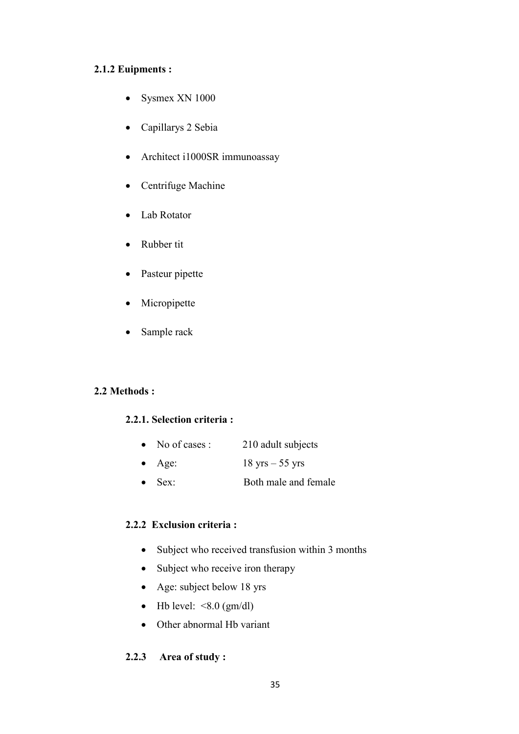## **2.1.2 Euipments :**

- Sysmex XN 1000
- Capillarys 2 Sebia
- Architect i1000SR immunoassay
- Centrifuge Machine
- Lab Rotator
- Rubber tit
- Pasteur pipette
- Micropipette
- Sample rack

## **2.2 Methods :**

## **2.2.1. Selection criteria :**

- No of cases : 210 adult subjects
- Age:  $18 \text{ yrs} 55 \text{ yrs}$
- Sex: Both male and female

## **2.2.2 Exclusion criteria :**

- Subject who received transfusion within 3 months
- Subject who receive iron therapy
- Age: subject below 18 yrs
- $\bullet$  Hb level: <8.0 (gm/dl)
- Other abnormal Hb variant

## **2.2.3 Area of study :**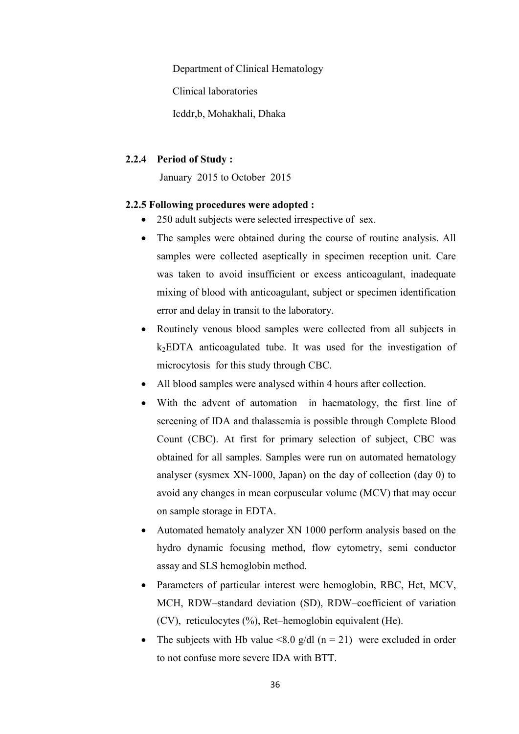Department of Clinical Hematology

Clinical laboratories

Icddr,b, Mohakhali, Dhaka

#### **2.2.4 Period of Study :**

January 2015 to October 2015

#### **2.2.5 Following procedures were adopted :**

- 250 adult subjects were selected irrespective of sex.
- The samples were obtained during the course of routine analysis. All samples were collected aseptically in specimen reception unit. Care was taken to avoid insufficient or excess anticoagulant, inadequate mixing of blood with anticoagulant, subject or specimen identification error and delay in transit to the laboratory.
- Routinely venous blood samples were collected from all subjects in  $k<sub>2</sub>EDTA$  anticoagulated tube. It was used for the investigation of microcytosis for this study through CBC.
- All blood samples were analysed within 4 hours after collection.
- With the advent of automation in haematology, the first line of screening of IDA and thalassemia is possible through Complete Blood Count (CBC). At first for primary selection of subject, CBC was obtained for all samples. Samples were run on automated hematology analyser (sysmex XN-1000, Japan) on the day of collection (day 0) to avoid any changes in mean corpuscular volume (MCV) that may occur on sample storage in EDTA.
- Automated hematoly analyzer XN 1000 perform analysis based on the hydro dynamic focusing method, flow cytometry, semi conductor assay and SLS hemoglobin method.
- Parameters of particular interest were hemoglobin, RBC, Hct, MCV, MCH, RDW–standard deviation (SD), RDW–coefficient of variation (CV), reticulocytes (%), Ret–hemoglobin equivalent (He).
- The subjects with Hb value <8.0 g/dl  $(n = 21)$  were excluded in order to not confuse more severe IDA with BTT.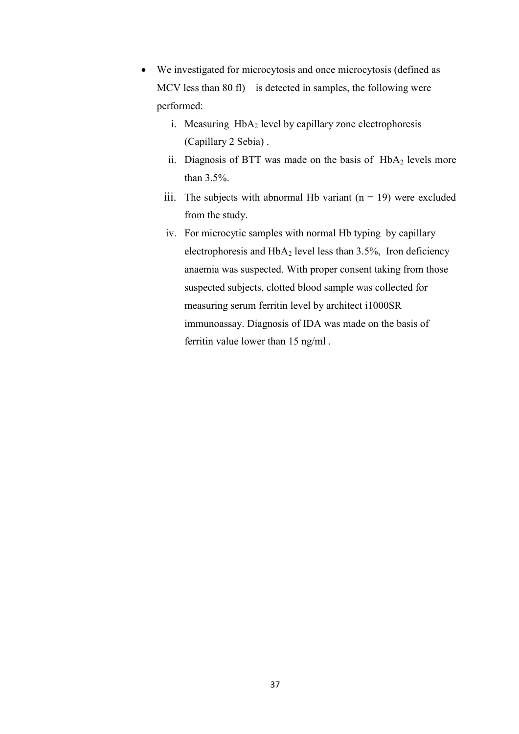- We investigated for microcytosis and once microcytosis (defined as MCV less than 80 fl) is detected in samples, the following were performed:
	- i. Measuring  $HbA_2$  level by capillary zone electrophoresis (Capillary 2 Sebia) .
	- ii. Diagnosis of BTT was made on the basis of  $HbA<sub>2</sub>$  levels more than 3.5%.
	- iii. The subjects with abnormal Hb variant  $(n = 19)$  were excluded from the study.
	- iv. For microcytic samples with normal Hb typing by capillary electrophoresis and  $HbA_2$  level less than 3.5%, Iron deficiency anaemia was suspected. With proper consent taking from those suspected subjects, clotted blood sample was collected for measuring serum ferritin level by architect i1000SR immunoassay. Diagnosis of IDA was made on the basis of ferritin value lower than 15 ng/ml .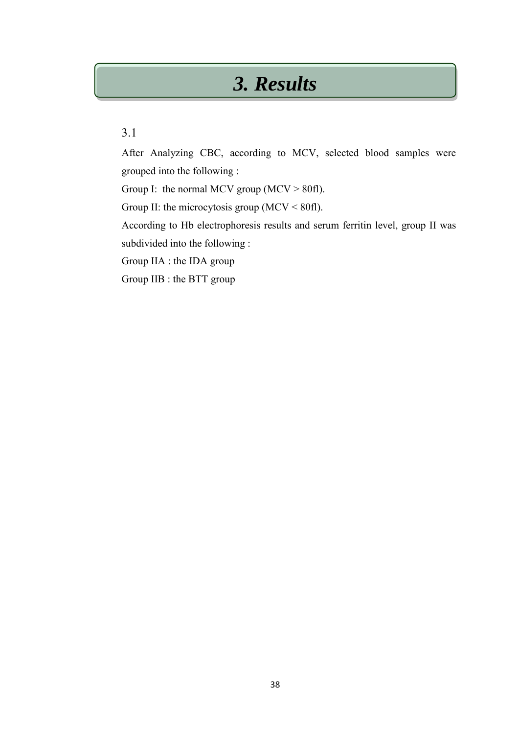# *3. Results*

## 3.1

After Analyzing CBC, according to MCV, selected blood samples were grouped into the following :

Group I: the normal MCV group (MCV  $> 80$ fl).

Group II: the microcytosis group ( $MCV < 80$ fl).

According to Hb electrophoresis results and serum ferritin level, group II was subdivided into the following :

Group IIA : the IDA group

Group IIB : the BTT group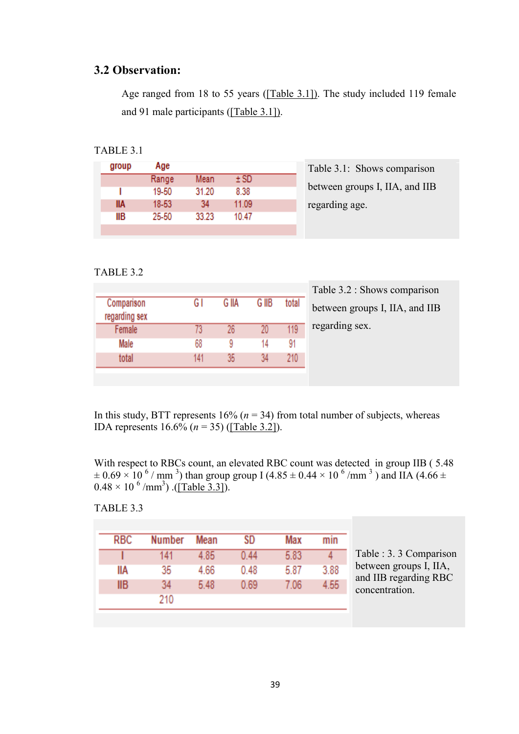## **3.2 Observation:**

Age ranged from 18 to 55 years ([Table 3.1]). The study included 119 female and 91 male participants ([Table 3.1]).

## TABLE 3.1

| ±SD<br>Range<br>Mean<br>19-50<br>31.20<br>8.38<br>IIA<br>11.09<br>18-53<br>34 | group | Age |  |  |
|-------------------------------------------------------------------------------|-------|-----|--|--|
|                                                                               |       |     |  |  |
|                                                                               |       |     |  |  |
|                                                                               |       |     |  |  |
| IIВ<br>25-50<br>33.23<br>10.47                                                |       |     |  |  |

able 3.1: Shows comparison between groups I, IIA, and IIB garding age.

### TABLE 3.2

| Comparison<br>regarding sex | G I | G IIA | G IIB | total |
|-----------------------------|-----|-------|-------|-------|
| Female                      | 73  | 26    | 20    | 119   |
| Male                        | 68  | 9     | 14    | 91    |
| total                       | 141 | 35    | 34    | 210   |

Table 3.2 : Shows comparison between groups I, IIA, and IIB regarding sex.

In this study, BTT represents  $16\%$  ( $n = 34$ ) from total number of subjects, whereas IDA represents 16.6% (*n* = 35) ([Table 3.2]).

With respect to RBCs count, an elevated RBC count was detected in group IIB (5.48)  $\pm$  0.69  $\times$  10 <sup>6</sup> / mm <sup>3</sup>) than group group I (4.85  $\pm$  0.44  $\times$  10 <sup>6</sup> /mm <sup>3</sup>) and IIA (4.66  $\pm$  $0.48 \times 10^{-6}$  /mm<sup>3</sup>) .([Table 3.3]).

#### TABLE 3.3

| <b>RBC</b> | <b>Number</b> | Mean | SD   | Max  | min  |
|------------|---------------|------|------|------|------|
|            | 141           | 4.85 | 0.44 | 5.83 |      |
| liа        | 35            | 4.66 | 0.48 | 5.87 | 3.88 |
| IIВ        | 34            | 5.48 | 0.69 | 7.06 | 4.55 |
|            | 210           |      |      |      |      |

Table : 3. 3 Comparison between groups I, IIA, and IIB regarding RBC concentration.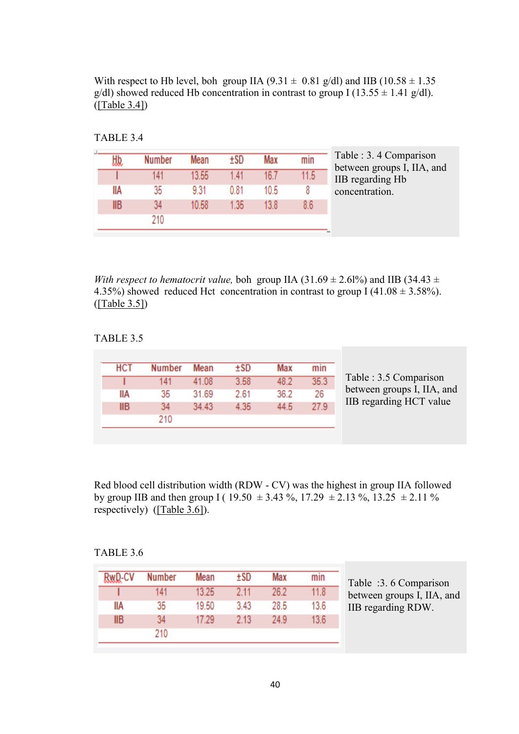With respect to Hb level, boh group IIA (9.31  $\pm$  0.81 g/dl) and IIB (10.58  $\pm$  1.35 g/dl) showed reduced Hb concentration in contrast to group I (13.55  $\pm$  1.41 g/dl). ([Table 3.4])

|  | Vumher | Mean  | ±SD  | Max  | mın  | Table : 3.4 Comparison<br>between groups I, IIA, and |
|--|--------|-------|------|------|------|------------------------------------------------------|
|  |        | 13.55 | l 41 |      | 11.5 | IIB regarding Hb                                     |
|  | 35     | 9.31  | 0.81 | 10.5 |      | concentration.                                       |
|  |        | 10.58 | 1.35 |      |      |                                                      |
|  |        |       |      |      |      |                                                      |
|  |        |       |      |      |      |                                                      |

TABLE 3.4

*With respect to hematocrit value, boh group IIA (31.69*  $\pm$  *2.61%) and IIB (34.43*  $\pm$ 4.35%) showed reduced Hct concentration in contrast to group  $I(41.08 \pm 3.58\%)$ . ([Table 3.5])

#### TABLE 3.5

| <b>HCT</b> | Number | Mean  | +SD  | Max  | min  |
|------------|--------|-------|------|------|------|
|            |        | 41.08 | 3.58 | 48.2 | 35.3 |
| liа        | 35     | 31.69 | 2.61 | 36.2 | 26   |
| IIВ        |        | 34 43 | 4.35 | 44.5 | 27.9 |
|            | 210    |       |      |      |      |

Red blood cell distribution width (RDW - CV) was the highest in group IIA followed by group IIB and then group I ( $19.50 \pm 3.43$  %,  $17.29 \pm 2.13$  %,  $13.25 \pm 2.11$  % respectively) [\(\[Table 3.6\]\)](http://www.ehj.eg.net/viewimage.asp?img=EgyptJHaematol_2014_39_3_91_148223_t6.jpg).

## TABLE 3.6

| RwD-CV     | <b>Number</b> | Mean  | ±SD  | Max  | min  |
|------------|---------------|-------|------|------|------|
|            | 141           | 13.25 | 2.11 | 26.2 | 11.8 |
| lia        | 35            | 19.50 | 3.43 | 28.5 | 13.6 |
| <b>IIB</b> | 34            | 17.29 | 2.13 | 24.9 | 13.6 |
|            | 210           |       |      |      |      |
|            |               |       |      |      |      |

Table :3. 6 Comparison between groups I, IIA, and IIB regarding RDW.

I, IIA, and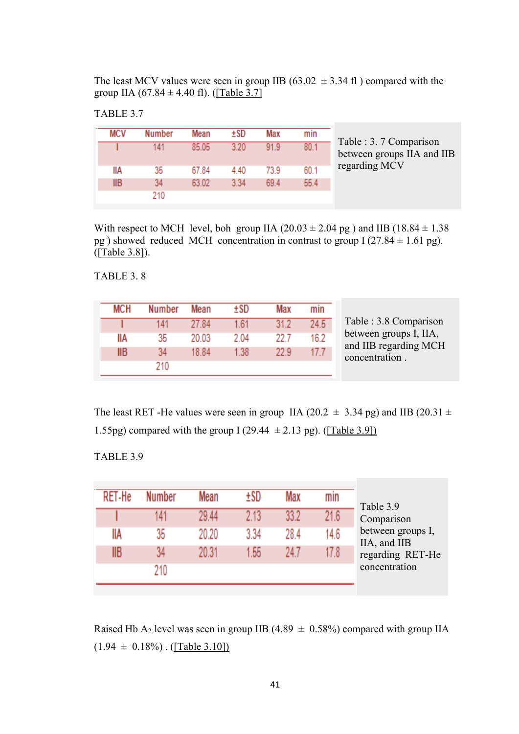The least MCV values were seen in group IIB (63.02  $\pm$  3.34 fl) compared with the group IIA (67.84  $\pm$  4.40 fl). ([Table 3.7]

## TABLE 3.7

|     | <b>Number</b> |       |      |      |      |                            |
|-----|---------------|-------|------|------|------|----------------------------|
|     |               | Mean  | ±SD  | Max  | min  |                            |
|     | 141           | 85.05 | 3.20 | 919  | 80.1 | Table : 3.7 Comparison     |
|     |               |       |      |      |      | between groups IIA and IIB |
| IIА | 35            | 67.84 | 4 40 | 739  | 60.1 | regarding MCV              |
| IIВ |               | 63.02 | 3.34 | 69.4 | 55.4 |                            |
|     | 210           |       |      |      |      |                            |

With respect to MCH level, boh group IIA  $(20.03 \pm 2.04 \text{ pg})$  and IIB  $(18.84 \pm 1.38$ pg ) showed reduced MCH concentration in contrast to group  $I(27.84 \pm 1.61 \text{ pg})$ . ([Table 3.8]).

TABLE 3. 8

| мсн | umher | Mean  | ±SD   | Max  | mın  |
|-----|-------|-------|-------|------|------|
|     | 141   | 27.84 | 1.61  | 31.2 | 24.5 |
| IIА | 35    | 20.03 | 2.04  | 22 T | 16.2 |
| IIВ | 34    | 18.84 | 1.38. | 22 9 | 177  |
|     | 210   |       |       |      |      |

The least RET -He values were seen in group IIA (20.2  $\pm$  3.34 pg) and IIB (20.31  $\pm$ 1.55pg) compared with the group I (29.44  $\pm$  2.13 pg). ([Table 3.9])

TABLE 3.9

| RFT-He | <b>Number</b> | Mean  | +SD  | Max  | mın   | Table 3.9                                                                            |
|--------|---------------|-------|------|------|-------|--------------------------------------------------------------------------------------|
|        | 141           | 29.44 | 2.13 | 33 2 | 21.6. | Comparison<br>between groups I,<br>IIA, and IIB<br>regarding RET-He<br>concentration |
| IIA    | 35            | 20.20 | 3.34 | 284  | 14.6  |                                                                                      |
| llB    | 34            | 20.31 | 1.55 | 24 7 | 17 8. |                                                                                      |
|        | 210           |       |      |      |       |                                                                                      |

Raised Hb A<sub>2</sub> level was seen in group IIB (4.89  $\pm$  0.58%) compared with group IIA  $(1.94 \pm 0.18\%)$ . ([Table 3.10])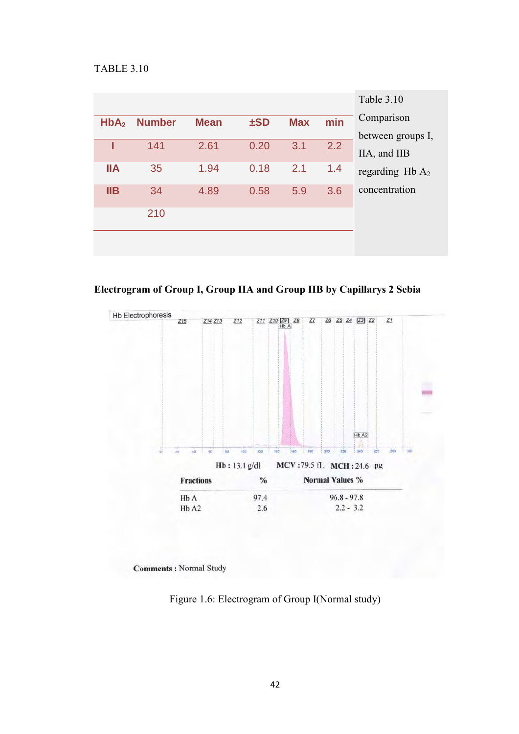#### TABLE 3.10

|                  |               |             |          |            |     | Table 3.10        |
|------------------|---------------|-------------|----------|------------|-----|-------------------|
| HbA <sub>2</sub> | <b>Number</b> | <b>Mean</b> | $\pm$ SD | <b>Max</b> | min | Comparison        |
|                  |               |             |          |            |     | between groups I, |
|                  | 141           | 2.61        | 0.20     | 3.1        | 2.2 | IIA, and IIB      |
| <b>IIA</b>       | 35            | 1.94        | 0.18     | 2.1        | 1.4 | regarding $HbA_2$ |
| IIB              | 34            | 4.89        | 0.58     | 5.9        | 3.6 | concentration     |
|                  | 210           |             |          |            |     |                   |
|                  |               |             |          |            |     |                   |

**Electrogram of Group I, Group IIA and Group IIB by Capillarys 2 Sebia** 



**Comments: Normal Study** 

Figure 1.6: Electrogram of Group I(Normal study)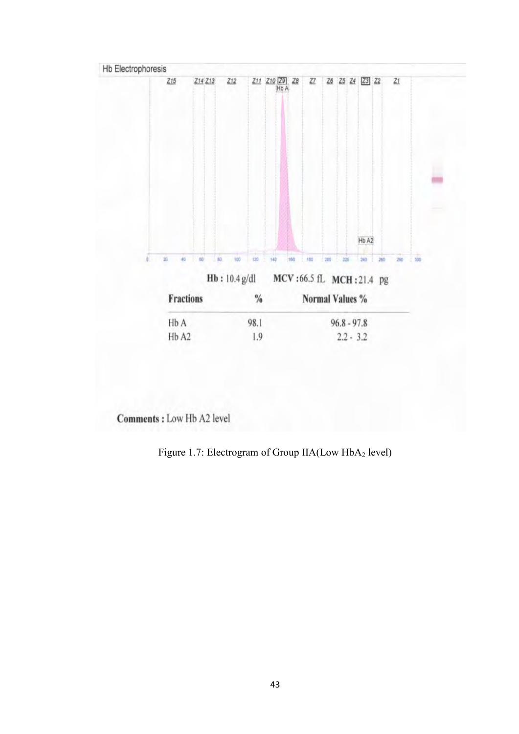

Comments : Low Hb A2 level

Figure 1.7: Electrogram of Group IIA(Low HbA<sub>2</sub> level)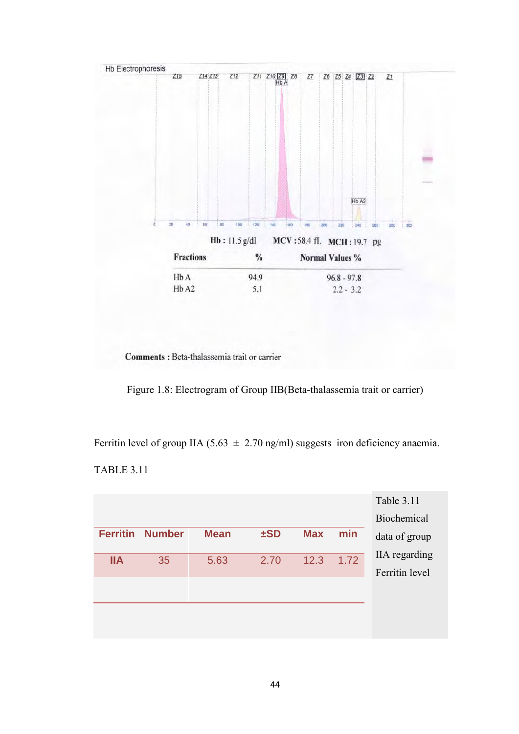

Comments : Beta-thalassemia trait or carrier

Figure 1.8: Electrogram of Group IIB(Beta-thalassemia trait or carrier)

Ferritin level of group IIA (5.63  $\pm$  2.70 ng/ml) suggests iron deficiency anaemia.

TABLE 3.11

|                 |               |             |          |            |      | <b>Table 3.11</b> |
|-----------------|---------------|-------------|----------|------------|------|-------------------|
|                 |               |             |          |            |      | Biochemical       |
| <b>Ferritin</b> | <b>Number</b> | <b>Mean</b> | $\pm$ SD | <b>Max</b> | min  | data of group     |
| <b>IIA</b>      | 35            | 5.63        | 2.70     | 12.3       | 1.72 | IIA regarding     |
|                 |               |             |          |            |      | Ferritin level    |
|                 |               |             |          |            |      |                   |
|                 |               |             |          |            |      |                   |
|                 |               |             |          |            |      |                   |
|                 |               |             |          |            |      |                   |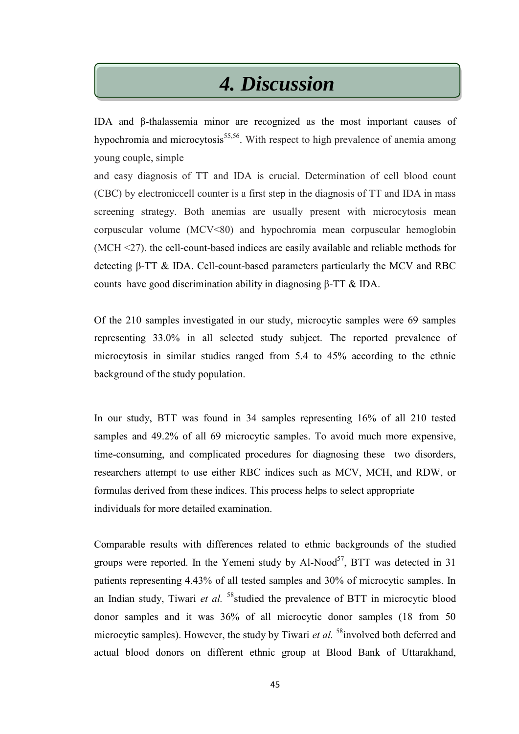## *4. Discussion*

IDA and β-thalassemia minor are recognized as the most important causes of hypochromia and microcytosis<sup>55,56</sup>. With respect to high prevalence of anemia among young couple, simple

and easy diagnosis of TT and IDA is crucial. Determination of cell blood count (CBC) by electroniccell counter is a first step in the diagnosis of TT and IDA in mass screening strategy. Both anemias are usually present with microcytosis mean corpuscular volume (MCV<80) and hypochromia mean corpuscular hemoglobin (MCH <27). the cell-count-based indices are easily available and reliable methods for detecting β-TT & IDA. Cell-count-based parameters particularly the MCV and RBC counts have good discrimination ability in diagnosing β-TT & IDA.

Of the 210 samples investigated in our study, microcytic samples were 69 samples representing 33.0% in all selected study subject. The reported prevalence of microcytosis in similar studies ranged from 5.4 to 45% according to the ethnic background of the study population.

In our study, BTT was found in 34 samples representing 16% of all 210 tested samples and 49.2% of all 69 microcytic samples. To avoid much more expensive, time-consuming, and complicated procedures for diagnosing these two disorders, researchers attempt to use either RBC indices such as MCV, MCH, and RDW, or formulas derived from these indices. This process helps to select appropriate individuals for more detailed examination.

Comparable results with differences related to ethnic backgrounds of the studied groups were reported. In the Yemeni study by  $Al-Nood^{57}$ , BTT was detected in 31 patients representing 4.43% of all tested samples and 30% of microcytic samples. In an Indian study, Tiwari *et al.* <sup>58</sup>studied the prevalence of BTT in microcytic blood donor samples and it was 36% of all microcytic donor samples (18 from 50 microcytic samples). However, the study by Tiwari *et al.* <sup>58</sup>involved both deferred and actual blood donors on different ethnic group at Blood Bank of Uttarakhand,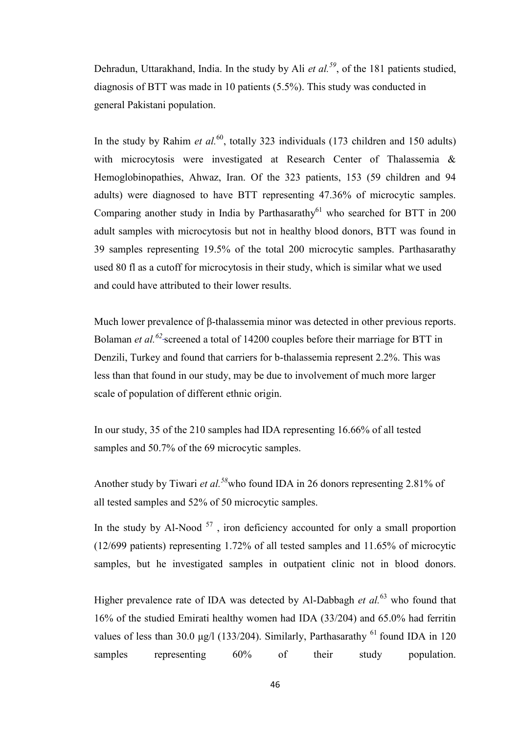Dehradun, Uttarakhand, India. In the study by Ali *et al.<sup>59</sup>*, of the 181 patients studied, diagnosis of BTT was made in 10 patients (5.5%). This study was conducted in general Pakistani population.

In the study by Rahim *et al.*<sup>60</sup>, totally 323 individuals (173 children and 150 adults) with microcytosis were investigated at Research Center of Thalassemia & Hemoglobinopathies, Ahwaz, Iran. Of the 323 patients, 153 (59 children and 94 adults) were diagnosed to have BTT representing 47.36% of microcytic samples. Comparing another study in India by Parthasarathy<sup>61</sup> who searched for BTT in 200 adult samples with microcytosis but not in healthy blood donors, BTT was found in 39 samples representing 19.5% of the total 200 microcytic samples. Parthasarathy used 80 fl as a cutoff for microcytosis in their study, which is similar what we used and could have attributed to their lower results.

Much lower prevalence of β-thalassemia minor was detected in other previous reports. Bolaman *et al.<sup>62</sup>* screened a total of 14200 couples before their marriage for BTT in Denzili, Turkey and found that carriers for b-thalassemia represent 2.2%. This was less than that found in our study, may be due to involvement of much more larger scale of population of different ethnic origin.

In our study, 35 of the 210 samples had IDA representing 16.66% of all tested samples and 50.7% of the 69 microcytic samples.

Another study by Tiwari *et al.<sup>58</sup>*who found IDA in 26 donors representing 2.81% of all tested samples and 52% of 50 microcytic samples.

In the study by Al-Nood  $57$ , iron deficiency accounted for only a small proportion (12/699 patients) representing 1.72% of all tested samples and 11.65% of microcytic samples, but he investigated samples in outpatient clinic not in blood donors.

Higher prevalence rate of IDA was detected by Al-Dabbagh *et al.*<sup>63</sup> who found that 16% of the studied Emirati healthy women had IDA (33/204) and 65.0% had ferritin values of less than 30.0 μg/l (133/204). Similarly, Parthasarathy  $^{61}$  found IDA in 120 samples representing  $60\%$  of their study population.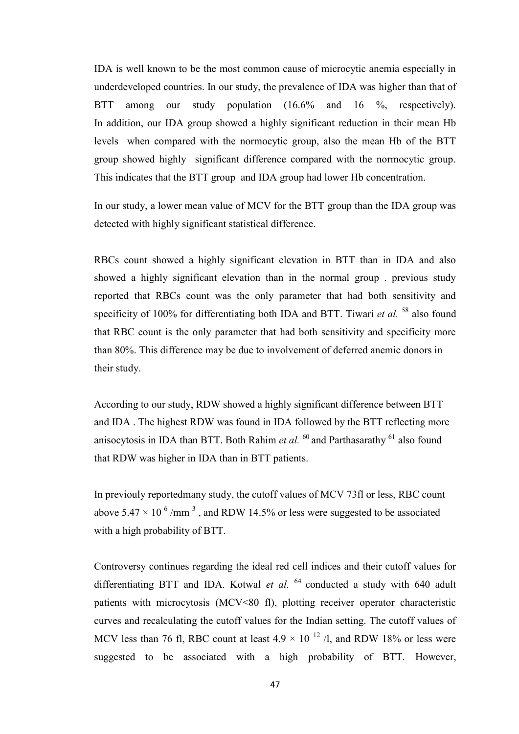IDA is well known to be the most common cause of microcytic anemia especially in underdeveloped countries. In our study, the prevalence of IDA was higher than that of BTT among our study population (16.6% and 16 %, respectively). In addition, our IDA group showed a highly significant reduction in their mean Hb levels when compared with the normocytic group, also the mean Hb of the BTT group showed highly significant difference compared with the normocytic group. This indicates that the BTT group and IDA group had lower Hb concentration.

In our study, a lower mean value of MCV for the BTT group than the IDA group was detected with highly significant statistical difference.

RBCs count showed a highly significant elevation in BTT than in IDA and also showed a highly significant elevation than in the normal group . previous study reported that RBCs count was the only parameter that had both sensitivity and specificity of 100% for differentiating both IDA and BTT. Tiwari *et al.* <sup>58</sup> also found that RBC count is the only parameter that had both sensitivity and specificity more than 80%. This difference may be due to involvement of deferred anemic donors in their study.

According to our study, RDW showed a highly significant difference between BTT and IDA . The highest RDW was found in IDA followed by the BTT reflecting more anisocytosis in IDA than BTT. Both Rahim *et al.*  $^{60}$  and Parthasarathy  $^{61}$  also found that RDW was higher in IDA than in BTT patients.

In previouly reportedmany study, the cutoff values of MCV 73fl or less, RBC count above 5.47  $\times$  10  $^{6}$  /mm<sup>3</sup>, and RDW 14.5% or less were suggested to be associated with a high probability of BTT.

Controversy continues regarding the ideal red cell indices and their cutoff values for differentiating BTT and IDA. Kotwal *et al.*  $^{64}$  conducted a study with 640 adult patients with microcytosis (MCV<80 fl), plotting receiver operator characteristic curves and recalculating the cutoff values for the Indian setting. The cutoff values of MCV less than 76 fl, RBC count at least  $4.9 \times 10^{-12}$  /l, and RDW 18% or less were suggested to be associated with a high probability of BTT. However,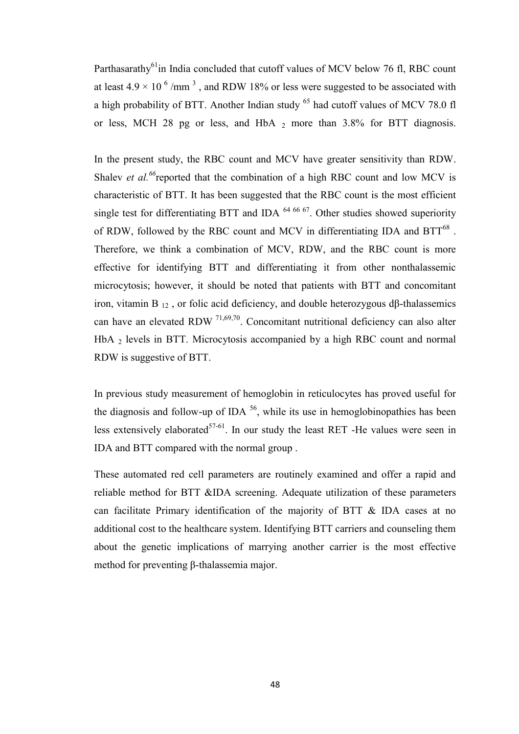Parthasarathy<sup>61</sup>in India concluded that cutoff values of MCV below 76 fl, RBC count at least  $4.9 \times 10^{-6}$  /mm<sup>3</sup>, and RDW 18% or less were suggested to be associated with a high probability of BTT. Another Indian study  $<sup>65</sup>$  had cutoff values of MCV 78.0 fl</sup> or less, MCH 28 pg or less, and HbA  $_2$  more than 3.8% for BTT diagnosis.

In the present study, the RBC count and MCV have greater sensitivity than RDW. Shalev *et al.*<sup>66</sup>reported that the combination of a high RBC count and low MCV is characteristic of BTT. It has been suggested that the RBC count is the most efficient single test for differentiating BTT and IDA  $64,66,67$ . Other studies showed superiority of RDW, followed by the RBC count and MCV in differentiating IDA and  $BTT^{68}$ . Therefore, we think a combination of MCV, RDW, and the RBC count is more effective for identifying BTT and differentiating it from other nonthalassemic microcytosis; however, it should be noted that patients with BTT and concomitant iron, vitamin B 12 , or folic acid deficiency, and double heterozygous dβ-thalassemics can have an elevated RDW  $^{71,69,70}$ . Concomitant nutritional deficiency can also alter HbA 2 levels in BTT. Microcytosis accompanied by a high RBC count and normal RDW is suggestive of BTT.

In previous study measurement of hemoglobin in reticulocytes has proved useful for the diagnosis and follow-up of IDA  $^{56}$ , while its use in hemoglobinopathies has been less extensively elaborated<sup>57-61</sup>. In our study the least RET -He values were seen in IDA and BTT compared with the normal group .

These automated red cell parameters are routinely examined and offer a rapid and reliable method for BTT &IDA screening. Adequate utilization of these parameters can facilitate Primary identification of the majority of BTT & IDA cases at no additional cost to the healthcare system. Identifying BTT carriers and counseling them about the genetic implications of marrying another carrier is the most effective method for preventing β-thalassemia major.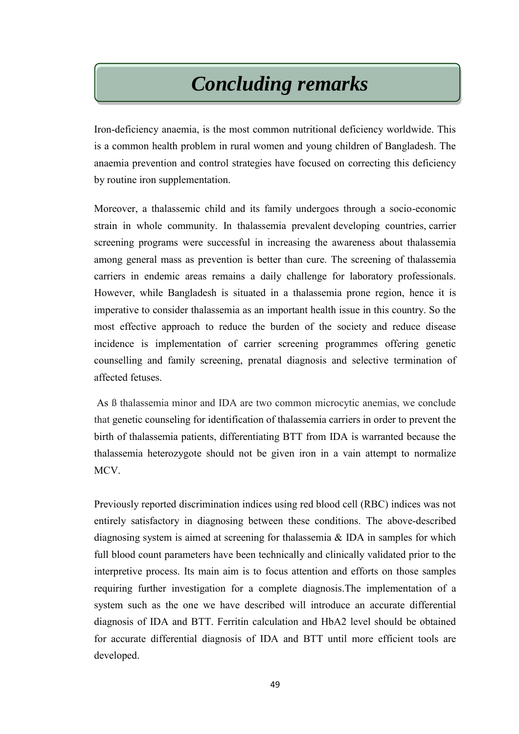# *Concluding remarks*

Iron-deficiency anaemia, is the most common nutritional deficiency worldwide. This is a common health problem in rural women and young children of Bangladesh. The anaemia prevention and control strategies have focused on correcting this deficiency by routine iron supplementation.

Moreover, a thalassemic child and its family undergoes through a socio-economic strain in whole community. In thalassemia prevalent developing countries, carrier screening programs were successful in increasing the awareness about thalassemia among general mass as prevention is better than cure. The screening of thalassemia carriers in endemic areas remains a daily challenge for laboratory professionals. However, while Bangladesh is situated in a thalassemia prone region, hence it is imperative to consider thalassemia as an important health issue in this country. So the most effective approach to reduce the burden of the society and reduce disease incidence is implementation of carrier screening programmes offering genetic counselling and family screening, prenatal diagnosis and selective termination of affected fetuses.

As ß thalassemia minor and IDA are two common microcytic anemias, we conclude that genetic counseling for identification of thalassemia carriers in order to prevent the birth of thalassemia patients, differentiating BTT from IDA is warranted because the thalassemia heterozygote should not be given iron in a vain attempt to normalize MCV.

Previously reported discrimination indices using red blood cell (RBC) indices was not entirely satisfactory in diagnosing between these conditions. The above-described diagnosing system is aimed at screening for thalassemia & IDA in samples for which full blood count parameters have been technically and clinically validated prior to the interpretive process. Its main aim is to focus attention and efforts on those samples requiring further investigation for a complete diagnosis.The implementation of a system such as the one we have described will introduce an accurate differential diagnosis of IDA and BTT. Ferritin calculation and HbA2 level should be obtained for accurate differential diagnosis of IDA and BTT until more efficient tools are developed.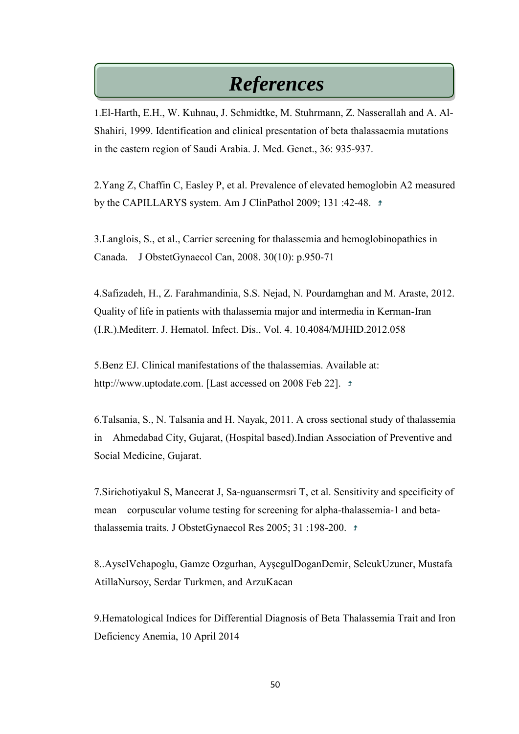## *References*

1.El-Harth, E.H., W. Kuhnau, J. Schmidtke, M. Stuhrmann, Z. Nasserallah and A. Al-Shahiri, 1999. Identification and clinical presentation of beta thalassaemia mutations in the eastern region of Saudi Arabia. J. Med. Genet., 36: 935-937.

2.Yang Z, Chaffin C, Easley P, et al. Prevalence of elevated hemoglobin A2 measured by the CAPILLARYS system. Am J ClinPathol 2009; 131 :42-48.

3.Langlois, S., et al., Carrier screening for thalassemia and hemoglobinopathies in Canada. J ObstetGynaecol Can, 2008. 30(10): p.950-71

4.Safizadeh, H., Z. Farahmandinia, S.S. Nejad, N. Pourdamghan and M. Araste, 2012. Quality of life in patients with thalassemia major and intermedia in Kerman-Iran (I.R.).Mediterr. J. Hematol. Infect. Dis., Vol. 4. 10.4084/MJHID.2012.058

5.Benz EJ. Clinical manifestations of the thalassemias. Available at: http://www.uptodate.com. [Last accessed on 2008 Feb 22].  $\pm$ 

6.Talsania, S., N. Talsania and H. Nayak, 2011. A cross sectional study of thalassemia in Ahmedabad City, Gujarat, (Hospital based).Indian Association of Preventive and Social Medicine, Gujarat.

7.Sirichotiyakul S, Maneerat J, Sa-nguansermsri T, et al. Sensitivity and specificity of mean corpuscular volume testing for screening for alpha-thalassemia-1 and betathalassemia traits. J ObstetGynaecol Res 2005; 31 :198-200.

8.[.AyselVehapoglu,](http://www.hindawi.com/56429145/) [Gamze Ozgurhan,](http://www.hindawi.com/94829083/) [AyşegulDoganDemir,](http://www.hindawi.com/41835010/) [SelcukUzuner,](http://www.hindawi.com/78728325/) [Mustafa](http://www.hindawi.com/23639179/)  [AtillaNursoy,](http://www.hindawi.com/23639179/) [Serdar Turkmen,](http://www.hindawi.com/81748472/) and [ArzuKacan](http://www.hindawi.com/39130526/)

9.Hematological Indices for Differential Diagnosis of Beta Thalassemia Trait and Iron Deficiency Anemia, 10 April 2014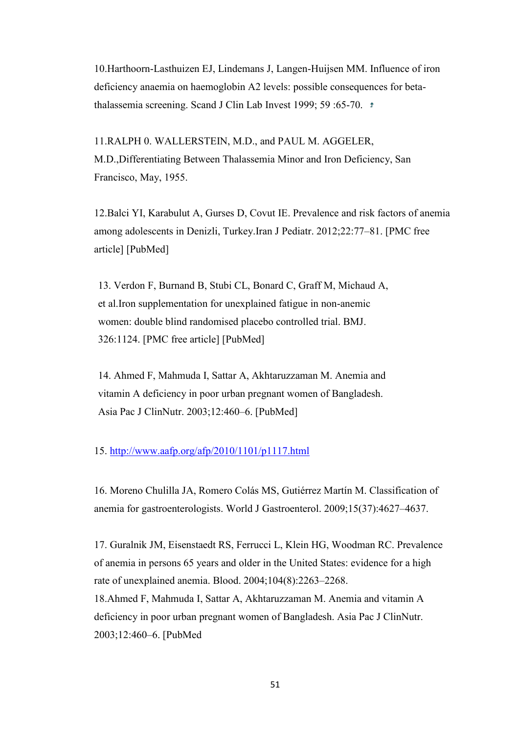10.Harthoorn-Lasthuizen EJ, Lindemans J, Langen-Huijsen MM. Influence of iron deficiency anaemia on haemoglobin A2 levels: possible consequences for betathalassemia screening. Scand J Clin Lab Invest 1999; 59:65-70.  $\pm$ 

11.RALPH 0. WALLERSTEIN, M.D., and PAUL M. AGGELER, M.D.,Differentiating Between Thalassemia Minor and Iron Deficiency, San Francisco, May, 1955.

12.Balci YI, Karabulut A, Gurses D, Covut IE. Prevalence and risk factors of anemia among adolescents in Denizli, Turkey.Iran J Pediatr. 2012;22:77–81. [\[PMC free](http://www.ncbi.nlm.nih.gov/pmc/articles/PMC3448219/)  [article\]](http://www.ncbi.nlm.nih.gov/pmc/articles/PMC3448219/) [\[PubMed\]](http://www.ncbi.nlm.nih.gov/pubmed/23056863)

13. Verdon F, Burnand B, Stubi CL, Bonard C, Graff M, Michaud A, et al.Iron supplementation for unexplained fatigue in non-anemic women: double blind randomised placebo controlled trial. BMJ. 326:1124. [\[PMC free article\]](http://www.ncbi.nlm.nih.gov/pmc/articles/PMC156009/) [\[PubMed\]](http://www.ncbi.nlm.nih.gov/pubmed/12763985)

14. Ahmed F, Mahmuda I, Sattar A, Akhtaruzzaman M. Anemia and vitamin A deficiency in poor urban pregnant women of Bangladesh. Asia Pac J ClinNutr. 2003;12:460–6. [\[PubMed\]](http://www.ncbi.nlm.nih.gov/pubmed/14672871)

#### 15.<http://www.aafp.org/afp/2010/1101/p1117.html>

16. Moreno Chulilla JA, Romero Colás MS, Gutiérrez Martín M. Classification of anemia for gastroenterologists. World J Gastroenterol. 2009;15(37):4627–4637.

17. Guralnik JM, Eisenstaedt RS, Ferrucci L, Klein HG, Woodman RC. Prevalence of anemia in persons 65 years and older in the United States: evidence for a high rate of unexplained anemia. Blood. 2004;104(8):2263–2268.

18.Ahmed F, Mahmuda I, Sattar A, Akhtaruzzaman M. Anemia and vitamin A deficiency in poor urban pregnant women of Bangladesh. Asia Pac J ClinNutr. 2003;12:460–6. [\[PubMed](http://www.ncbi.nlm.nih.gov/pubmed/14672871)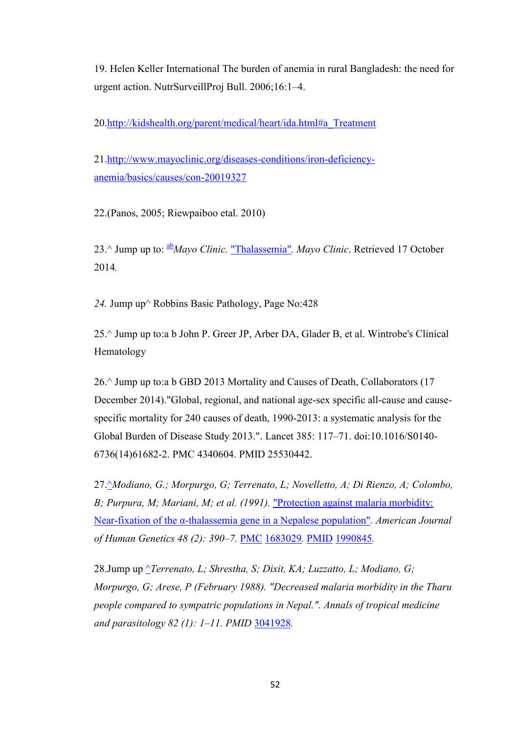19. Helen Keller International The burden of anemia in rural Bangladesh: the need for urgent action. NutrSurveillProj Bull. 2006;16:1–4.

20[.http://kidshealth.org/parent/medical/heart/ida.html#a\\_Treatment](http://kidshealth.org/parent/medical/heart/ida.html#a_Treatment)

21[.http://www.mayoclinic.org/diseases-conditions/iron-deficiency](http://www.mayoclinic.org/diseases-conditions/iron-deficiency-anemia/basics/causes/con-20019327)[anemia/basics/causes/con-20019327](http://www.mayoclinic.org/diseases-conditions/iron-deficiency-anemia/basics/causes/con-20019327)

22.(Panos, 2005; Riewpaiboo etal. 2010)

23.^ [Jump up to:](https://en.wikipedia.org/wiki/Thalassemia#cite_ref-Thalassemia_1-0) [ab](https://en.wikipedia.org/wiki/Thalassemia#cite_ref-Thalassemia_1-0)*Mayo Clinic.* ["Thalassemia"](http://www.mayoclinic.org/diseases-conditions/thalassemia/basics/definition/con-20030316)*. Mayo Clinic*. Retrieved 17 October 2014*.*

*24.* [Jump up^](https://en.wikipedia.org/wiki/Thalassemia#cite_ref-10) Robbins Basic Pathology, Page No:428

25.^ [Jump up to:a](https://en.wikipedia.org/wiki/Thalassemia#cite_ref-Greer2013_13_25-0) [b](https://en.wikipedia.org/wiki/Thalassemia#cite_ref-Greer2013_13_25-1) John P. Greer JP, Arber DA, Glader B, et al. Wintrobe's Clinical Hematology

26.^ [Jump up to:a](https://en.wikipedia.org/wiki/Thalassemia#cite_ref-GDB2013_4-0) [b](https://en.wikipedia.org/wiki/Thalassemia#cite_ref-GDB2013_4-1) GBD 2013 Mortality and Causes of Death, Collaborators (17 December 2014)[."Global, regional, and national age-sex specific all-cause and cause](https://www.ncbi.nlm.nih.gov/pmc/articles/PMC4340604)[specific mortality for 240 causes of death, 1990-2013: a systematic analysis for the](https://www.ncbi.nlm.nih.gov/pmc/articles/PMC4340604)  [Global Burden of Disease Study 2013.".](https://www.ncbi.nlm.nih.gov/pmc/articles/PMC4340604) Lancet 385: 117–71. [doi:](https://en.wikipedia.org/wiki/Digital_object_identifier)[10.1016/S0140-](https://dx.doi.org/10.1016%2FS0140-6736%2814%2961682-2) [6736\(14\)61682-2.](https://dx.doi.org/10.1016%2FS0140-6736%2814%2961682-2) [PMC](https://en.wikipedia.org/wiki/PubMed_Central) [4340604.](https://www.ncbi.nlm.nih.gov/pmc/articles/PMC4340604) [PMID](https://en.wikipedia.org/wiki/PubMed_Identifier) [25530442.](https://www.ncbi.nlm.nih.gov/pubmed/25530442)

27[.^](https://en.wikipedia.org/wiki/Thalassemia#cite_ref-26)*Modiano, G.; Morpurgo, G; Terrenato, L; Novelletto, A; Di Rienzo, A; Colombo, B; Purpura, M; Mariani, M; et al. (1991).* ["Protection against malaria morbidity:](https://www.ncbi.nlm.nih.gov/pmc/articles/PMC1683029)  [Near-fixation of the α-thalassemia gene in a Nepalese population"](https://www.ncbi.nlm.nih.gov/pmc/articles/PMC1683029)*. American Journal of Human Genetics 48 (2): 390–7.* [PMC](https://en.wikipedia.org/wiki/PubMed_Central) [1683029](https://www.ncbi.nlm.nih.gov/pmc/articles/PMC1683029)*.* [PMID](https://en.wikipedia.org/wiki/PubMed_Identifier) [1990845](https://www.ncbi.nlm.nih.gov/pubmed/1990845)*.*

28[.Jump up](https://en.wikipedia.org/wiki/Thalassemia#cite_ref-27) ^*Terrenato, L; Shrestha, S; Dixit, KA; Luzzatto, L; Modiano, G; Morpurgo, G; Arese, P (February 1988). "Decreased malaria morbidity in the Tharu people compared to sympatric populations in Nepal.". Annals of tropical medicine and parasitology 82 (1): 1–11. [PMID](https://en.wikipedia.org/wiki/PubMed_Identifier)* [3041928](https://www.ncbi.nlm.nih.gov/pubmed/3041928)*.*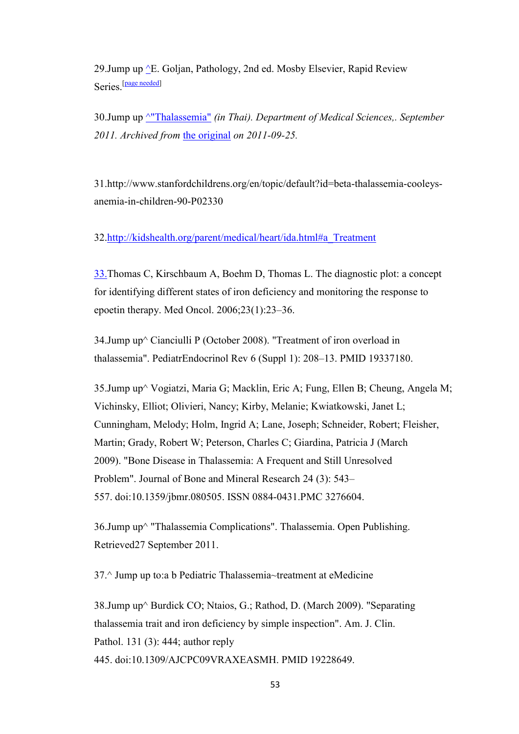29.Jump up ^E. Goljan, Pathology, 2nd ed. Mosby Elsevier, Rapid Review Series<sup>[\[page need](https://en.wikipedia.org/wiki/Thalassemia#cite_ref-28)ed]</sup>

30[.Jump up](https://en.wikipedia.org/wiki/Thalassemia#cite_ref-29) [^"Thalassemia"](https://en.wikipedia.org/wiki/Thalassemia#cite_ref-29) *(in Thai). Department of Medical Sciences,. September 2011. Archived from* [the original](http://www.dmsc.moph.go.th/webrOOt/ri/Npublic/p04.htm) *on 2011-09-25.* 

31.http://www.stanfordchildrens.org/en/topic/default?id=beta-thalassemia-cooleysanemia-in-children-90-P02330

32[.http://kidshealth.org/parent/medical/heart/ida.html#a\\_Treatment](http://kidshealth.org/parent/medical/heart/ida.html#a_Treatment)

33.Thomas C, Kirschbaum A, Boehm D, Thomas L. The diagnostic plot: a concept for identifying different states of iron deficiency and monitoring the response to epoetin therapy. Med Oncol. 2006;23(1):23–36.

34. Jump up $\textdegree$  Cianciulli P (October 2008). "Treatment of iron overload in thalassemia". PediatrEndocrinol Rev 6 (Suppl 1): 208–13. [PMID](https://en.wikipedia.org/wiki/PubMed_Identifier) [19337180.](https://www.ncbi.nlm.nih.gov/pubmed/19337180)

35[.Jump up^](https://en.wikipedia.org/wiki/Thalassemia#cite_ref-6) Vogiatzi, Maria G; Macklin, Eric A; Fung, Ellen B; Cheung, Angela M; Vichinsky, Elliot; Olivieri, Nancy; Kirby, Melanie; Kwiatkowski, Janet L; Cunningham, Melody; Holm, Ingrid A; Lane, Joseph; Schneider, Robert; Fleisher, Martin; Grady, Robert W; Peterson, Charles C; Giardina, Patricia J (March 2009). ["Bone Disease in Thalassemia: A Frequent and Still Unresolved](https://www.ncbi.nlm.nih.gov/pmc/articles/PMC3276604)  [Problem".](https://www.ncbi.nlm.nih.gov/pmc/articles/PMC3276604) Journal of Bone and Mineral Research 24 (3): 543– 557. [doi](https://en.wikipedia.org/wiki/Digital_object_identifier)[:10.1359/jbmr.080505.](https://dx.doi.org/10.1359%2Fjbmr.080505) [ISSN](https://en.wikipedia.org/wiki/International_Standard_Serial_Number) [0884-0431](https://www.worldcat.org/issn/0884-0431)[.PMC](https://en.wikipedia.org/wiki/PubMed_Central) [3276604.](https://www.ncbi.nlm.nih.gov/pmc/articles/PMC3276604)

36[.Jump up^](https://en.wikipedia.org/wiki/Thalassemia#cite_ref-7) ["Thalassemia Complications".](http://www.mayoclinic.com/health/thalassemia/DS00905/DSECTION=complications/) Thalassemia. Open Publishing. Retrieved27 September 2011.

37.^ [Jump up to:a](https://en.wikipedia.org/wiki/Thalassemia#cite_ref-emedicine1_14-0) [b](https://en.wikipedia.org/wiki/Thalassemia#cite_ref-emedicine1_14-1) [Pediatric Thalassemia~treatment](http://emedicine.medscape.com/article/958850-treatment) at [eMedicine](https://en.wikipedia.org/wiki/EMedicine)

38[.Jump up^](https://en.wikipedia.org/wiki/Thalassemia#cite_ref-15) Burdick CO; Ntaios, G.; Rathod, D. (March 2009). ["Separating](http://ajcp.ascpjournals.org/content/131/3/444.short)  [thalassemia trait and iron deficiency by simple inspection".](http://ajcp.ascpjournals.org/content/131/3/444.short) Am. J. Clin. Pathol. 131 (3): 444; author reply 445. [doi](https://en.wikipedia.org/wiki/Digital_object_identifier)[:10.1309/AJCPC09VRAXEASMH.](https://dx.doi.org/10.1309%2FAJCPC09VRAXEASMH) [PMID](https://en.wikipedia.org/wiki/PubMed_Identifier) [19228649.](https://www.ncbi.nlm.nih.gov/pubmed/19228649)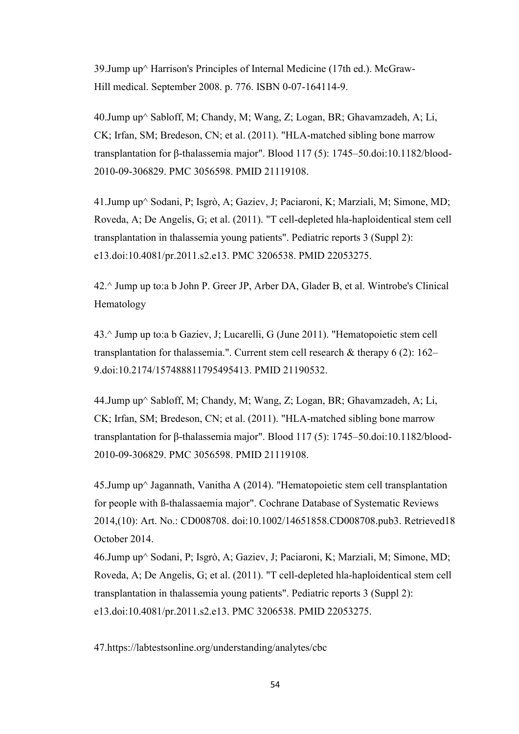39.Jump up^ Harrison's Principles of Internal Medicine (17th ed.). McGraw-Hill [medical.](https://en.wikipedia.org/wiki/Thalassemia#cite_ref-16) [September 2008. p. 776.](https://en.wikipedia.org/wiki/Harrison%27s_Principles_of_Internal_Medicine) ISBN 0-07-164114-9.

40[.Jump up^](https://en.wikipedia.org/wiki/Thalassemia#cite_ref-22) Sabloff, M; Chandy, M; Wang, Z; Logan, BR; Ghavamzadeh, A; Li, CK; Irfan, SM; Bredeson, CN; et al. (2011). ["HLA-matched sibling bone marrow](http://bloodjournal.hematologylibrary.org/cgi/pmidlookup?view=long&pmid=21119108)  [transplantation for β-thalassemia major".](http://bloodjournal.hematologylibrary.org/cgi/pmidlookup?view=long&pmid=21119108) Blood 117 (5): 1745–50[.doi:](https://en.wikipedia.org/wiki/Digital_object_identifier)[10.1182/blood-](https://dx.doi.org/10.1182%2Fblood-2010-09-306829)[2010-09-306829.](https://dx.doi.org/10.1182%2Fblood-2010-09-306829) [PMC](https://en.wikipedia.org/wiki/PubMed_Central) [3056598.](https://www.ncbi.nlm.nih.gov/pmc/articles/PMC3056598) [PMID](https://en.wikipedia.org/wiki/PubMed_Identifier) [21119108.](https://www.ncbi.nlm.nih.gov/pubmed/21119108)

41[.Jump up^](https://en.wikipedia.org/wiki/Thalassemia#cite_ref-24) Sodani, P; Isgrò, A; Gaziev, J; Paciaroni, K; Marziali, M; Simone, MD; Roveda, A; De Angelis, G; et al. (2011). ["T cell-depleted hla-haploidentical stem cell](https://www.ncbi.nlm.nih.gov/pmc/articles/PMC3206538)  [transplantation in thalassemia young patients".](https://www.ncbi.nlm.nih.gov/pmc/articles/PMC3206538) Pediatric reports 3 (Suppl 2): e13[.doi:](https://en.wikipedia.org/wiki/Digital_object_identifier)[10.4081/pr.2011.s2.e13.](https://dx.doi.org/10.4081%2Fpr.2011.s2.e13) [PMC](https://en.wikipedia.org/wiki/PubMed_Central) [3206538.](https://www.ncbi.nlm.nih.gov/pmc/articles/PMC3206538) [PMID](https://en.wikipedia.org/wiki/PubMed_Identifier) [22053275.](https://www.ncbi.nlm.nih.gov/pubmed/22053275)

42.^ [Jump up to:a](https://en.wikipedia.org/wiki/Thalassemia#cite_ref-Greer2013_13_25-0) [b](https://en.wikipedia.org/wiki/Thalassemia#cite_ref-Greer2013_13_25-1) John P. Greer JP, Arber DA, Glader B, et al. Wintrobe's Clinical Hematology

43.^ [Jump up to:a](https://en.wikipedia.org/wiki/Thalassemia#cite_ref-Gaz2011_21-0) [b](https://en.wikipedia.org/wiki/Thalassemia#cite_ref-Gaz2011_21-1) Gaziev, J; Lucarelli, G (June 2011). "Hematopoietic stem cell transplantation for thalassemia.". Current stem cell research  $\&$  therapy 6 (2): 162– 9[.doi](https://en.wikipedia.org/wiki/Digital_object_identifier)[:10.2174/157488811795495413.](https://dx.doi.org/10.2174%2F157488811795495413) [PMID](https://en.wikipedia.org/wiki/PubMed_Identifier) [21190532.](https://www.ncbi.nlm.nih.gov/pubmed/21190532)

44[.Jump up^](https://en.wikipedia.org/wiki/Thalassemia#cite_ref-22) Sabloff, M; Chandy, M; Wang, Z; Logan, BR; Ghavamzadeh, A; Li, CK; Irfan, SM; Bredeson, CN; et al. (2011). ["HLA-matched sibling bone marrow](http://bloodjournal.hematologylibrary.org/cgi/pmidlookup?view=long&pmid=21119108)  [transplantation for β-thalassemia major".](http://bloodjournal.hematologylibrary.org/cgi/pmidlookup?view=long&pmid=21119108) Blood 117 (5): 1745–50[.doi:](https://en.wikipedia.org/wiki/Digital_object_identifier)[10.1182/blood-](https://dx.doi.org/10.1182%2Fblood-2010-09-306829)[2010-09-306829.](https://dx.doi.org/10.1182%2Fblood-2010-09-306829) [PMC](https://en.wikipedia.org/wiki/PubMed_Central) [3056598.](https://www.ncbi.nlm.nih.gov/pmc/articles/PMC3056598) [PMID](https://en.wikipedia.org/wiki/PubMed_Identifier) [21119108.](https://www.ncbi.nlm.nih.gov/pubmed/21119108)

45[.Jump up^](https://en.wikipedia.org/wiki/Thalassemia#cite_ref-23) Jagannath, Vanitha A (2014). ["Hematopoietic stem cell transplantation](http://onlinelibrary.wiley.com/doi/10.1002/14651858.CD008708.pub3/abstract)  [for people with ß-thalassaemia major".](http://onlinelibrary.wiley.com/doi/10.1002/14651858.CD008708.pub3/abstract) Cochrane Database of Systematic Reviews 2014,(10): Art. No.: CD008708. [doi](https://en.wikipedia.org/wiki/Digital_object_identifier)[:10.1002/14651858.CD008708.pub3.](https://dx.doi.org/10.1002%2F14651858.CD008708.pub3) Retrieved18 October 2014.

46[.Jump up^](https://en.wikipedia.org/wiki/Thalassemia#cite_ref-24) Sodani, P; Isgrò, A; Gaziev, J; Paciaroni, K; Marziali, M; Simone, MD; Roveda, A; De Angelis, G; et al. (2011). ["T cell-depleted hla-haploidentical stem cell](https://www.ncbi.nlm.nih.gov/pmc/articles/PMC3206538)  [transplantation in thalassemia young patients".](https://www.ncbi.nlm.nih.gov/pmc/articles/PMC3206538) Pediatric reports 3 (Suppl 2): e13[.doi:](https://en.wikipedia.org/wiki/Digital_object_identifier)[10.4081/pr.2011.s2.e13.](https://dx.doi.org/10.4081%2Fpr.2011.s2.e13) [PMC](https://en.wikipedia.org/wiki/PubMed_Central) [3206538.](https://www.ncbi.nlm.nih.gov/pmc/articles/PMC3206538) [PMID](https://en.wikipedia.org/wiki/PubMed_Identifier) [22053275.](https://www.ncbi.nlm.nih.gov/pubmed/22053275)

47.https://labtestsonline.org/understanding/analytes/cbc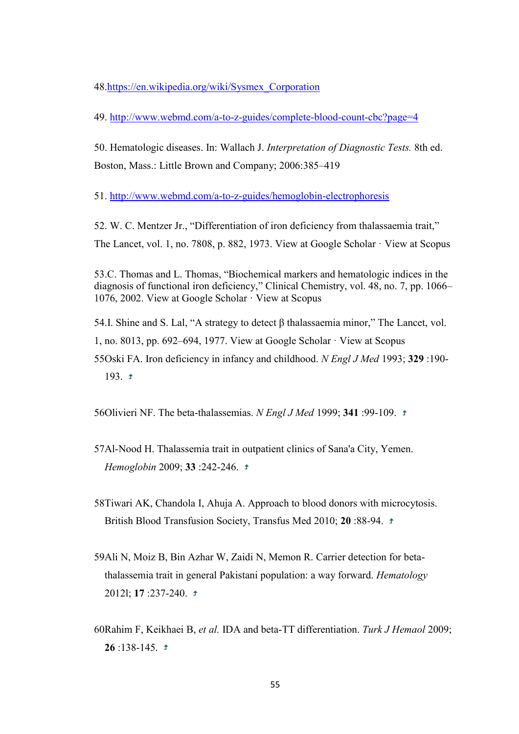48[.https://en.wikipedia.org/wiki/Sysmex\\_Corporation](https://en.wikipedia.org/wiki/Sysmex_Corporation)

49. <http://www.webmd.com/a-to-z-guides/complete-blood-count-cbc?page=4>

50. Hematologic diseases. In: Wallach J. *Interpretation of Diagnostic Tests.* 8th ed. Boston, Mass.: Little Brown and Company; 2006:385–419

51.<http://www.webmd.com/a-to-z-guides/hemoglobin-electrophoresis>

52. W. C. Mentzer Jr., "Differentiation of iron deficiency from thalassaemia trait," The Lancet, vol. 1, no. 7808, p. 882, 1973. [View at Google Scholar](http://scholar.google.com/scholar_lookup?title=Differentiation+of+iron+deficiency+from+thalassaemia+trait&author=W.+C.+Mentzer+Jr.&publication_year=1973) · [View at Scopus](http://www.scopus.com/scopus/inward/record.url?eid=2-s2.0-0015931755&partnerID=K84CvKBR&rel=3.0.0&md5=1fcad32fc44c5daec1f32af25393d07d)

53.C. Thomas and L. Thomas, "Biochemical markers and hematologic indices in the diagnosis of functional iron deficiency," Clinical Chemistry, vol. 48, no. 7, pp. 1066– 1076, 2002. [View at Google Scholar](http://scholar.google.com/scholar_lookup?title=Biochemical+markers+and+hematologic+indices+in+the+diagnosis+of+functional+iron+deficiency&author=C.+Thomas&author=L.+Thomas&publication_year=2002) · [View at Scopus](http://www.scopus.com/scopus/inward/record.url?eid=2-s2.0-0036092825&partnerID=K84CvKBR&rel=3.0.0&md5=a7a1f3c60bf517fb10edfb7b40540632)

54.I. Shine and S. Lal, "A strategy to detect β thalassaemia minor," The Lancet, vol.

1, no. 8013, pp. 692–694, 1977. [View at Google Scholar](http://scholar.google.com/scholar_lookup?title=A+strategy+to+detect+%ce%b2+thalassaemia+minor&author=I.+Shine&author=S.+Lal&publication_year=1977)  $\cdot$  [View at Scopus](http://www.scopus.com/scopus/inward/record.url?eid=2-s2.0-0017407648&partnerID=K84CvKBR&rel=3.0.0&md5=899ba4627846d0367980e86078ea436b)

55Oski FA. Iron deficiency in infancy and childhood. *N Engl J Med* 1993; **329** :190- 193.  $\pm$ 

56Olivieri NF. The beta-thalassemias. *N Engl J Med* 1999; **341** :99-109.

- 57Al-Nood H. Thalassemia trait in outpatient clinics of Sana'a City, Yemen. *Hemoglobin* 2009; **33** :242-246.
- 58Tiwari AK, Chandola I, Ahuja A. Approach to blood donors with microcytosis. British Blood Transfusion Society, Transfus Med 2010; **20** :88-94.
- 59Ali N, Moiz B, Bin Azhar W, Zaidi N, Memon R. Carrier detection for betathalassemia trait in general Pakistani population: a way forward. *Hematology* 2012l; **17** :237-240.
- 60Rahim F, Keikhaei B, *et al.* IDA and beta-TT differentiation. *Turk J Hemaol* 2009; **26** :138-145.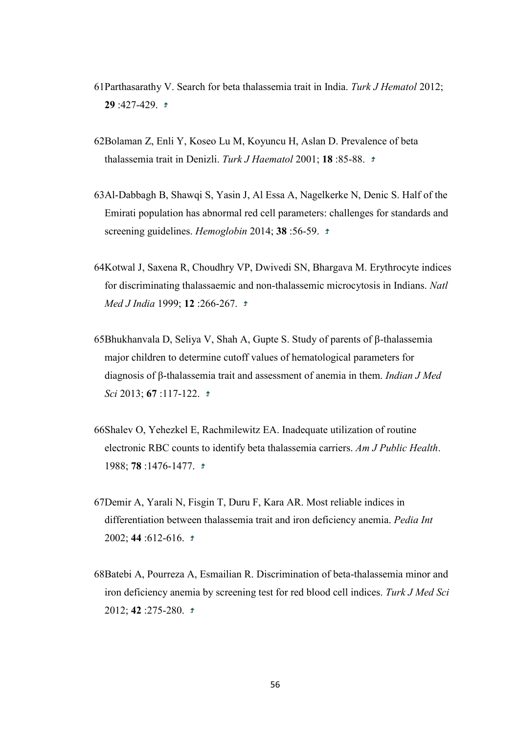- 61Parthasarathy V. Search for beta thalassemia trait in India. *Turk J Hematol* 2012; **29** :427-429.
- 62Bolaman Z, Enli Y, Koseo Lu M, Koyuncu H, Aslan D. Prevalence of beta thalassemia trait in Denizli. *Turk J Haematol* 2001; **18** :85-88.
- 63Al-Dabbagh B, Shawqi S, Yasin J, Al Essa A, Nagelkerke N, Denic S. Half of the Emirati population has abnormal red cell parameters: challenges for standards and screening guidelines. *Hemoglobin* 2014; **38** :56-59.
- 64Kotwal J, Saxena R, Choudhry VP, Dwivedi SN, Bhargava M. Erythrocyte indices for discriminating thalassaemic and non-thalassemic microcytosis in Indians. *Natl Med J India* 1999; **12** :266-267.
- 65Bhukhanvala D, Seliya V, Shah A, Gupte S. Study of parents of β-thalassemia major children to determine cutoff values of hematological parameters for diagnosis of β-thalassemia trait and assessment of anemia in them. *Indian J Med Sci* 2013; **67** :117-122.
- 66Shalev O, Yehezkel E, Rachmilewitz EA. Inadequate utilization of routine electronic RBC counts to identify beta thalassemia carriers. *Am J Public Health*. 1988; **78** :1476-1477.
- 67Demir A, Yarali N, Fisgin T, Duru F, Kara AR. Most reliable indices in differentiation between thalassemia trait and iron deficiency anemia. *Pedia Int* 2002; **44** :612-616.
- 68Batebi A, Pourreza A, Esmailian R. Discrimination of beta-thalassemia minor and iron deficiency anemia by screening test for red blood cell indices. *Turk J Med Sci* 2012; **42** :275-280.